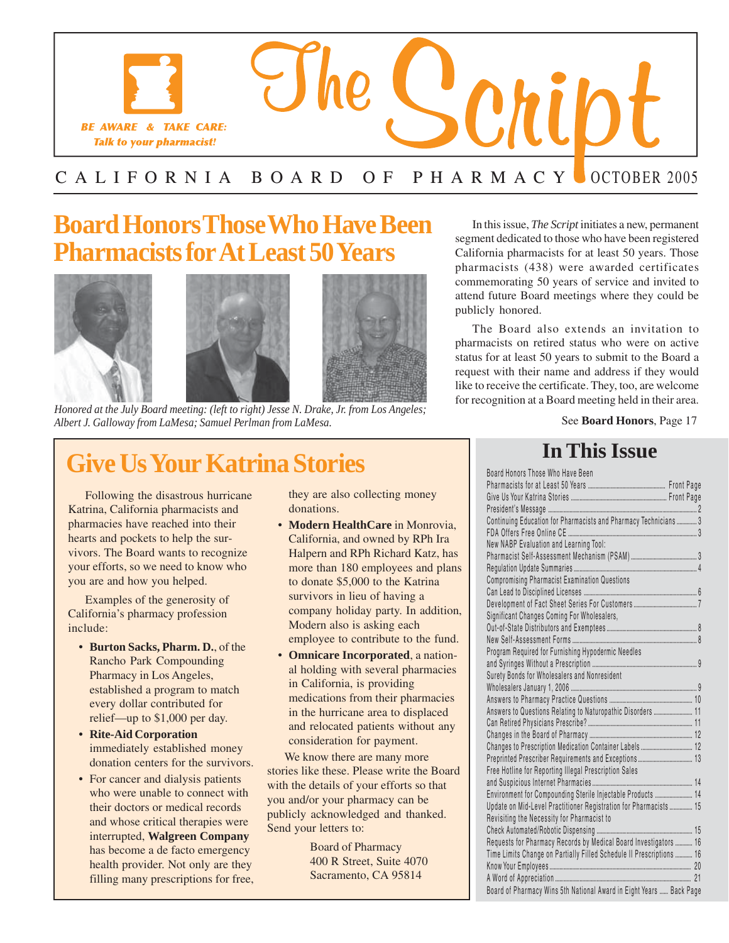

### C A L I F O R N I A B O A R D O F P H A R M A C Y C OCTOBER 2005

### **Board Honors Those Who Have Been** In this issue, *The Script* initiates a new, permanent **Pharmacists for At Least 50 Years** California pharmacists for at least 50 years. Those







*Honored at the July Board meeting: (left to right) Jesse N. Drake, Jr. from Los Angeles;* for recognition at a Board meeting held in their area. *Albert J. Galloway from LaMesa; Samuel Perlman from LaMesa.* 

### **Give Us Your Katrina Stories**

Following the disastrous hurricane Katrina, California pharmacists and hearts and pockets to help the suryour efforts, so we need to know who more than 180 employees and plans you are and how you helped. vivors. The Board wants to recognize pharmacies have reached into their **Modern HealthCare** in Monrovia,

California's pharmacy profession include:  $\frac{1}{\sqrt{1-\frac{1}{\sqrt{1-\frac{1}{\sqrt{1-\frac{1}{\sqrt{1-\frac{1}{\sqrt{1-\frac{1}{\sqrt{1-\frac{1}{\sqrt{1-\frac{1}{\sqrt{1-\frac{1}{\sqrt{1-\frac{1}{\sqrt{1-\frac{1}{\sqrt{1-\frac{1}{\sqrt{1-\frac{1}{\sqrt{1-\frac{1}{\sqrt{1-\frac{1}{\sqrt{1-\frac{1}{\sqrt{1-\frac{1}{\sqrt{1-\frac{1}{\sqrt{1-\frac{1}{\sqrt{1-\frac{1}{\sqrt{1-\frac{1}{\sqrt{1-\frac{1}{\sqrt{1-\frac{1}{\sqrt{1-\frac{1}{$ 

- **Burton Sacks, Pharm. D., of the** Pharmacy in Los Angeles, established a program to match in California, is providing
- **Rite-Aid Corporation**  donation centers for the survivors. **immediately established money** consideration for payment.
- For cancer and dialysis patients and whose critical therapies were health provider. Not only are they 400 R Street, Suite 4070<br>
filling many prescriptions for free Sacramento, CA 95814 who were unable to connect with<br>their doctors or medical records<br> $y$  and/or your pharmacy can be filling many prescriptions for free, interrupted, **Walgreen Company**  has become a de facto emergency Board of Pharmacy

I

they are also collecting money donations.

- California, and owned by RPh Ira to donate \$5,000 to the Katrina company holiday party. In addition, employee to contribute to the fund. Halpern and RPh Richard Katz, has Examples of the generosity of survivors in lieu of having a
- **Parton Backs, Finanti, D., of the Compounding Omnicare Incorporated**, a national holding with several pharmacies medications from their pharmacies every dollar contributed for<br>relief—up to \$1,000 per day. In the hurricane area to displaced and relocated patients without any

stories like these. Please write the Board Send your letters to: We know there are many more with the details of your efforts so that publicly acknowledged and thanked.

pharmacists (438) were awarded certificates commemorating 50 years of service and invited to attend future Board meetings where they could be publicly honored.

The Board also extends an invitation to pharmacists on retired status who were on active status for at least 50 years to submit to the Board a request with their name and address if they would like to receive the certificate. They, too, are welcome

See **Board Honors**, Page 17

### **In This Issue**

| Board Honors Those Who Have Been                                     |  |
|----------------------------------------------------------------------|--|
|                                                                      |  |
|                                                                      |  |
|                                                                      |  |
| Continuing Education for Pharmacists and Pharmacy Technicians 3      |  |
|                                                                      |  |
| New NABP Evaluation and Learning Tool:                               |  |
|                                                                      |  |
|                                                                      |  |
| Compromising Pharmacist Examination Questions                        |  |
|                                                                      |  |
|                                                                      |  |
| Significant Changes Coming For Wholesalers,                          |  |
|                                                                      |  |
|                                                                      |  |
| Program Required for Furnishing Hypodermic Needles                   |  |
|                                                                      |  |
| Surety Bonds for Wholesalers and Nonresident                         |  |
|                                                                      |  |
|                                                                      |  |
| Answers to Questions Relating to Naturopathic Disorders  11          |  |
|                                                                      |  |
|                                                                      |  |
|                                                                      |  |
|                                                                      |  |
| Free Hotline for Reporting Illegal Prescription Sales                |  |
|                                                                      |  |
| Environment for Compounding Sterile Injectable Products  14          |  |
| Update on Mid-Level Practitioner Registration for Pharmacists  15    |  |
| Revisiting the Necessity for Pharmacist to                           |  |
|                                                                      |  |
| Requests for Pharmacy Records by Medical Board Investigators  16     |  |
| Time Limits Change on Partially Filled Schedule II Prescriptions  16 |  |
|                                                                      |  |
|                                                                      |  |
| Board of Pharmacy Wins 5th National Award in Eight Years  Back Page  |  |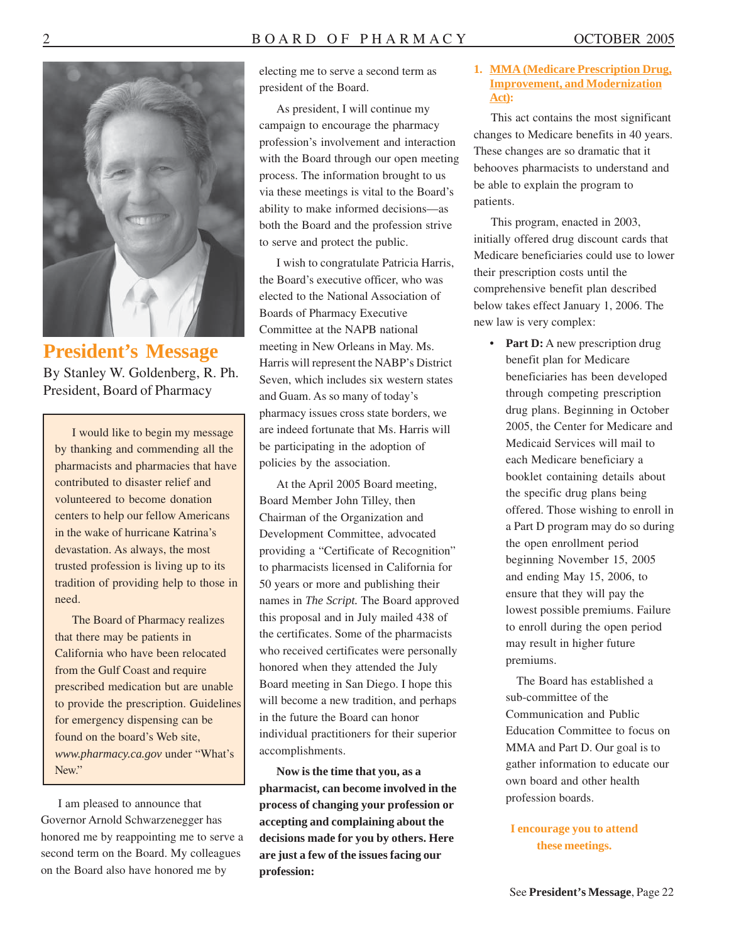

**President's Message**  By Stanley W. Goldenberg, R. Ph. President, Board of Pharmacy

I would like to begin my message by thanking and commending all the pharmacists and pharmacies that have contributed to disaster relief and volunteered to become donation centers to help our fellow Americans in the wake of hurricane Katrina's devastation. As always, the most trusted profession is living up to its tradition of providing help to those in need.

The Board of Pharmacy realizes that there may be patients in California who have been relocated from the Gulf Coast and require prescribed medication but are unable to provide the prescription. Guidelines for emergency dispensing can be found on the board's Web site, *<www.pharmacy.ca.gov>* under "What's New."

I am pleased to announce that Governor Arnold Schwarzenegger has honored me by reappointing me to serve a second term on the Board. My colleagues on the Board also have honored me by

electing me to serve a second term as president of the Board.

As president, I will continue my campaign to encourage the pharmacy profession's involvement and interaction with the Board through our open meeting process. The information brought to us via these meetings is vital to the Board's ability to make informed decisions—as both the Board and the profession strive to serve and protect the public.

I wish to congratulate Patricia Harris, the Board's executive officer, who was elected to the National Association of Boards of Pharmacy Executive Committee at the NAPB national meeting in New Orleans in May. Ms. Harris will represent the NABP's District Seven, which includes six western states and Guam. As so many of today's pharmacy issues cross state borders, we are indeed fortunate that Ms. Harris will be participating in the adoption of policies by the association.

At the April 2005 Board meeting, Board Member John Tilley, then Chairman of the Organization and Development Committee, advocated providing a "Certificate of Recognition" to pharmacists licensed in California for 50 years or more and publishing their names in *The Script.* The Board approved this proposal and in July mailed 438 of the certificates. Some of the pharmacists who received certificates were personally honored when they attended the July Board meeting in San Diego. I hope this will become a new tradition, and perhaps in the future the Board can honor individual practitioners for their superior accomplishments.

**Now is the time that you, as a pharmacist, can become involved in the process of changing your profession or accepting and complaining about the decisions made for you by others. Here are just a few of the issues facing our profession:** 

#### **1. MMA (Medicare Prescription Drug, Improvement, and Modernization Act):**

This act contains the most significant changes to Medicare benefits in 40 years. These changes are so dramatic that it behooves pharmacists to understand and be able to explain the program to patients.

This program, enacted in 2003, initially offered drug discount cards that Medicare beneficiaries could use to lower their prescription costs until the comprehensive benefit plan described below takes effect January 1, 2006. The new law is very complex:

• Part D: A new prescription drug benefit plan for Medicare beneficiaries has been developed through competing prescription drug plans. Beginning in October 2005, the Center for Medicare and Medicaid Services will mail to each Medicare beneficiary a booklet containing details about the specific drug plans being offered. Those wishing to enroll in a Part D program may do so during the open enrollment period beginning November 15, 2005 and ending May 15, 2006, to ensure that they will pay the lowest possible premiums. Failure to enroll during the open period may result in higher future premiums.

The Board has established a sub-committee of the Communication and Public Education Committee to focus on MMA and Part D. Our goal is to gather information to educate our own board and other health profession boards.

#### **I encourage you to attend these meetings.**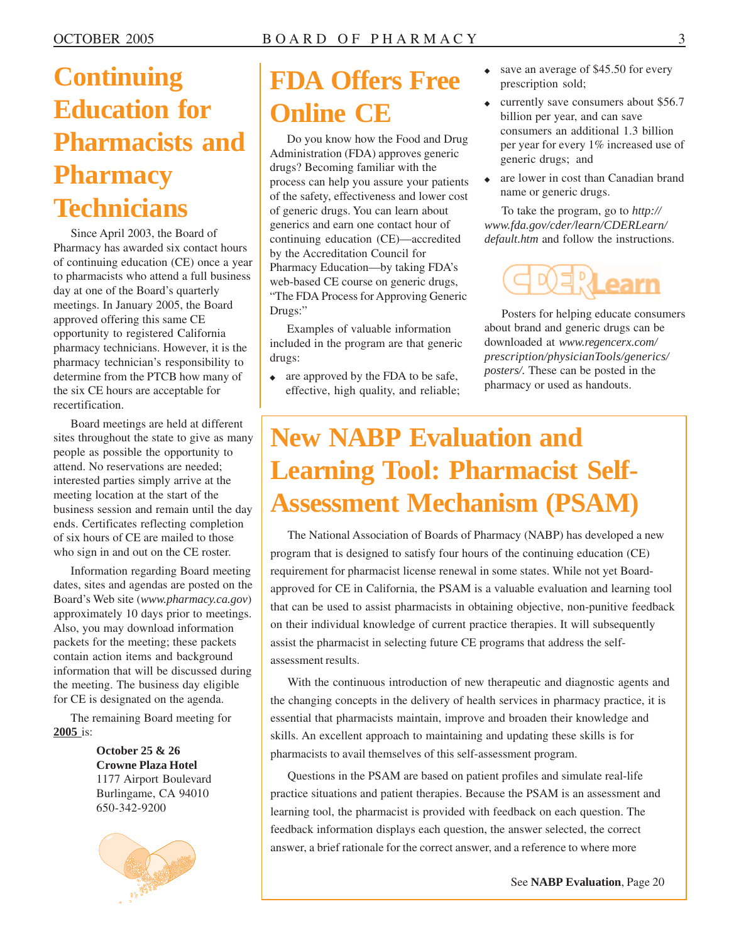## **Continuing Education for Pharmacists and Pharmacy Technicians**

Since April 2003, the Board of Pharmacy has awarded six contact hours of continuing education (CE) once a year to pharmacists who attend a full business day at one of the Board's quarterly meetings. In January 2005, the Board approved offering this same CE opportunity to registered California pharmacy technicians. However, it is the pharmacy technician's responsibility to determine from the PTCB how many of the six CE hours are acceptable for recertification.

Board meetings are held at different sites throughout the state to give as many people as possible the opportunity to attend. No reservations are needed; interested parties simply arrive at the meeting location at the start of the business session and remain until the day ends. Certificates reflecting completion of six hours of CE are mailed to those who sign in and out on the CE roster.

Information regarding Board meeting dates, sites and agendas are posted on the Board's Web site (*<www.pharmacy.ca.gov>*) approximately 10 days prior to meetings. Also, you may download information packets for the meeting; these packets contain action items and background information that will be discussed during the meeting. The business day eligible for CE is designated on the agenda.

The remaining Board meeting for **2005** is:

> **October 25 & 26 Crowne Plaza Hotel**  1177 Airport Boulevard Burlingame, CA 94010 650-342-9200



## **FDA Offers Free Online CE**

Do you know how the Food and Drug Administration (FDA) approves generic drugs? Becoming familiar with the process can help you assure your patients of the safety, effectiveness and lower cost of generic drugs. You can learn about generics and earn one contact hour of continuing education (CE)—accredited by the Accreditation Council for Pharmacy Education—by taking FDA's web-based CE course on generic drugs, "The FDA Process for Approving Generic Drugs:"

Examples of valuable information included in the program are that generic drugs:

are approved by the FDA to be safe, effective, high quality, and reliable;

- save an average of \$45.50 for every prescription sold;
- ◆ currently save consumers about \$56.7 billion per year, and can save consumers an additional 1.3 billion per year for every 1% increased use of generic drugs; and
- ◆ are lower in cost than Canadian brand name or generic drugs.

To take the program, go to *http:// [www.fda.gov/cder/learn/CDERLearn/](www.fda.gov/cder/learn/CDERLearn) default.htm* and follow the instructions.



Posters for helping educate consumers about brand and generic drugs can be downloaded at *[www.regencerx.com/](www.regencerx.com) prescription/physicianTools/generics/ posters/.* These can be posted in the pharmacy or used as handouts.

## **New NABP Evaluation and Learning Tool: Pharmacist Self-Assessment Mechanism (PSAM)**

The National Association of Boards of Pharmacy (NABP) has developed a new program that is designed to satisfy four hours of the continuing education (CE) requirement for pharmacist license renewal in some states. While not yet Boardapproved for CE in California, the PSAM is a valuable evaluation and learning tool that can be used to assist pharmacists in obtaining objective, non-punitive feedback on their individual knowledge of current practice therapies. It will subsequently assist the pharmacist in selecting future CE programs that address the selfassessment results.

With the continuous introduction of new therapeutic and diagnostic agents and the changing concepts in the delivery of health services in pharmacy practice, it is essential that pharmacists maintain, improve and broaden their knowledge and skills. An excellent approach to maintaining and updating these skills is for pharmacists to avail themselves of this self-assessment program.

Questions in the PSAM are based on patient profiles and simulate real-life practice situations and patient therapies. Because the PSAM is an assessment and learning tool, the pharmacist is provided with feedback on each question. The feedback information displays each question, the answer selected, the correct answer, a brief rationale for the correct answer, and a reference to where more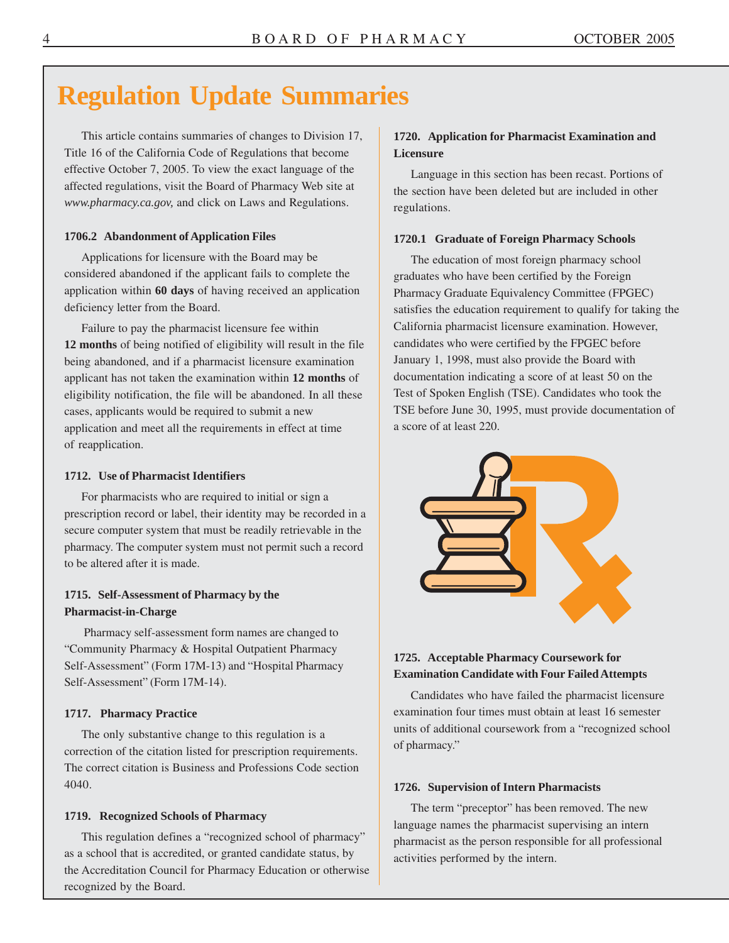### **Regulation Update Summaries**

This article contains summaries of changes to Division 17, Title 16 of the California Code of Regulations that become effective October 7, 2005. To view the exact language of the affected regulations, visit the Board of Pharmacy Web site at *[www.pharmacy.ca.gov,](www.pharmacy.ca.gov)* and click on Laws and Regulations.

#### **1706.2 Abandonment of Application Files**

Applications for licensure with the Board may be considered abandoned if the applicant fails to complete the application within **60 days** of having received an application deficiency letter from the Board.

Failure to pay the pharmacist licensure fee within **12 months** of being notified of eligibility will result in the file being abandoned, and if a pharmacist licensure examination applicant has not taken the examination within **12 months** of eligibility notification, the file will be abandoned. In all these cases, applicants would be required to submit a new application and meet all the requirements in effect at time of reapplication.

#### **1712. Use of Pharmacist Identifiers**

For pharmacists who are required to initial or sign a prescription record or label, their identity may be recorded in a secure computer system that must be readily retrievable in the pharmacy. The computer system must not permit such a record to be altered after it is made.

#### **1715. Self-Assessment of Pharmacy by the Pharmacist-in-Charge**

 Pharmacy self-assessment form names are changed to "Community Pharmacy & Hospital Outpatient Pharmacy Self-Assessment" (Form 17M-13) and "Hospital Pharmacy Self-Assessment" (Form 17M-14).

#### **1717. Pharmacy Practice**

The only substantive change to this regulation is a correction of the citation listed for prescription requirements. The correct citation is Business and Professions Code section 4040.

#### **1719. Recognized Schools of Pharmacy**

This regulation defines a "recognized school of pharmacy" as a school that is accredited, or granted candidate status, by the Accreditation Council for Pharmacy Education or otherwise recognized by the Board.

#### **1720. Application for Pharmacist Examination and Licensure**

Language in this section has been recast. Portions of the section have been deleted but are included in other regulations.

#### **1720.1 Graduate of Foreign Pharmacy Schools**

The education of most foreign pharmacy school graduates who have been certified by the Foreign Pharmacy Graduate Equivalency Committee (FPGEC) satisfies the education requirement to qualify for taking the California pharmacist licensure examination. However, candidates who were certified by the FPGEC before January 1, 1998, must also provide the Board with documentation indicating a score of at least 50 on the Test of Spoken English (TSE). Candidates who took the TSE before June 30, 1995, must provide documentation of a score of at least 220.



#### **1725. Acceptable Pharmacy Coursework for Examination Candidate with Four Failed Attempts**

Candidates who have failed the pharmacist licensure examination four times must obtain at least 16 semester units of additional coursework from a "recognized school of pharmacy."

#### **1726. Supervision of Intern Pharmacists**

The term "preceptor" has been removed. The new language names the pharmacist supervising an intern pharmacist as the person responsible for all professional activities performed by the intern.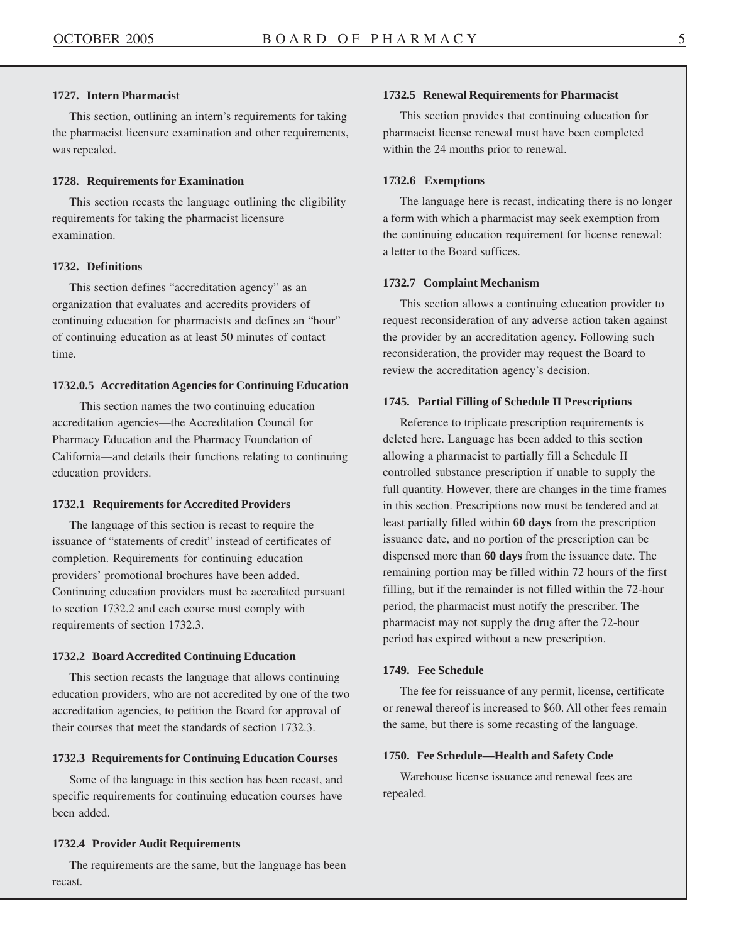#### **1727. Intern Pharmacist**

This section, outlining an intern's requirements for taking the pharmacist licensure examination and other requirements, was repealed.

#### **1728. Requirements for Examination**

This section recasts the language outlining the eligibility requirements for taking the pharmacist licensure examination.

#### **1732. Definitions**

This section defines "accreditation agency" as an organization that evaluates and accredits providers of continuing education for pharmacists and defines an "hour" of continuing education as at least 50 minutes of contact time.

#### **1732.0.5 Accreditation Agencies for Continuing Education**

 This section names the two continuing education accreditation agencies—the Accreditation Council for Pharmacy Education and the Pharmacy Foundation of California—and details their functions relating to continuing education providers.

#### **1732.1 Requirements for Accredited Providers**

The language of this section is recast to require the issuance of "statements of credit" instead of certificates of completion. Requirements for continuing education providers' promotional brochures have been added. Continuing education providers must be accredited pursuant to section 1732.2 and each course must comply with requirements of section 1732.3.

#### **1732.2 Board Accredited Continuing Education**

This section recasts the language that allows continuing education providers, who are not accredited by one of the two accreditation agencies, to petition the Board for approval of their courses that meet the standards of section 1732.3.

#### **1732.3 Requirements for Continuing Education Courses**

Some of the language in this section has been recast, and specific requirements for continuing education courses have been added.

#### **1732.4 Provider Audit Requirements**

The requirements are the same, but the language has been recast.

#### **1732.5 Renewal Requirements for Pharmacist**

This section provides that continuing education for pharmacist license renewal must have been completed within the 24 months prior to renewal.

#### **1732.6 Exemptions**

The language here is recast, indicating there is no longer a form with which a pharmacist may seek exemption from the continuing education requirement for license renewal: a letter to the Board suffices.

#### **1732.7 Complaint Mechanism**

This section allows a continuing education provider to request reconsideration of any adverse action taken against the provider by an accreditation agency. Following such reconsideration, the provider may request the Board to review the accreditation agency's decision.

#### **1745. Partial Filling of Schedule II Prescriptions**

Reference to triplicate prescription requirements is deleted here. Language has been added to this section allowing a pharmacist to partially fill a Schedule II controlled substance prescription if unable to supply the full quantity. However, there are changes in the time frames in this section. Prescriptions now must be tendered and at least partially filled within **60 days** from the prescription issuance date, and no portion of the prescription can be dispensed more than **60 days** from the issuance date. The remaining portion may be filled within 72 hours of the first filling, but if the remainder is not filled within the 72-hour period, the pharmacist must notify the prescriber. The pharmacist may not supply the drug after the 72-hour period has expired without a new prescription.

#### **1749. Fee Schedule**

The fee for reissuance of any permit, license, certificate or renewal thereof is increased to \$60. All other fees remain the same, but there is some recasting of the language.

#### **1750. Fee Schedule—Health and Safety Code**

Warehouse license issuance and renewal fees are repealed.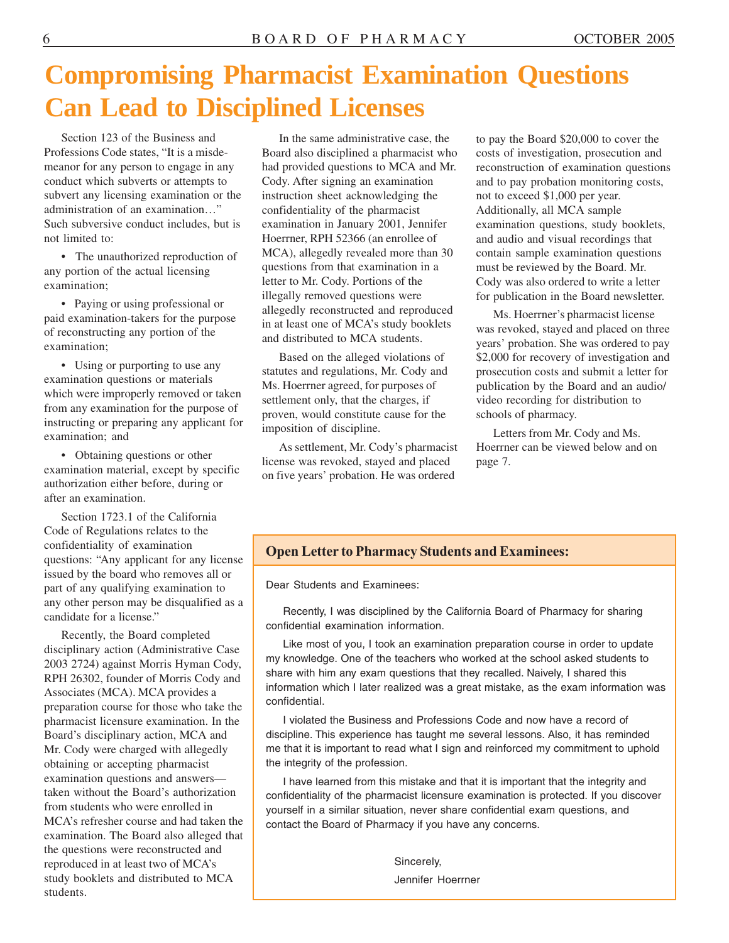### **Compromising Pharmacist Examination Questions Can Lead to Disciplined Licenses**

Section 123 of the Business and Professions Code states, "It is a misdemeanor for any person to engage in any conduct which subverts or attempts to subvert any licensing examination or the administration of an examination…" Such subversive conduct includes, but is not limited to:

• The unauthorized reproduction of any portion of the actual licensing examination;

• Paying or using professional or paid examination-takers for the purpose of reconstructing any portion of the examination;

 Using or purporting to use any examination questions or materials which were improperly removed or taken from any examination for the purpose of instructing or preparing any applicant for examination; and

 Obtaining questions or other examination material, except by specific authorization either before, during or after an examination.

Section 1723.1 of the California Code of Regulations relates to the confidentiality of examination questions: "Any applicant for any license issued by the board who removes all or part of any qualifying examination to any other person may be disqualified as a candidate for a license."

Recently, the Board completed disciplinary action (Administrative Case 2003 2724) against Morris Hyman Cody, RPH 26302, founder of Morris Cody and Associates (MCA). MCA provides a preparation course for those who take the pharmacist licensure examination. In the Board's disciplinary action, MCA and Mr. Cody were charged with allegedly obtaining or accepting pharmacist examination questions and answers taken without the Board's authorization from students who were enrolled in MCA's refresher course and had taken the examination. The Board also alleged that the questions were reconstructed and reproduced in at least two of MCA's study booklets and distributed to MCA students.

In the same administrative case, the Board also disciplined a pharmacist who had provided questions to MCA and Mr. Cody. After signing an examination instruction sheet acknowledging the confidentiality of the pharmacist examination in January 2001, Jennifer Hoerrner, RPH 52366 (an enrollee of MCA), allegedly revealed more than 30 questions from that examination in a letter to Mr. Cody. Portions of the illegally removed questions were allegedly reconstructed and reproduced in at least one of MCA's study booklets and distributed to MCA students.

Based on the alleged violations of statutes and regulations, Mr. Cody and Ms. Hoerrner agreed, for purposes of settlement only, that the charges, if proven, would constitute cause for the imposition of discipline.

As settlement, Mr. Cody's pharmacist license was revoked, stayed and placed on five years' probation. He was ordered

to pay the Board \$20,000 to cover the costs of investigation, prosecution and reconstruction of examination questions and to pay probation monitoring costs, not to exceed \$1,000 per year. Additionally, all MCA sample examination questions, study booklets, and audio and visual recordings that contain sample examination questions must be reviewed by the Board. Mr. Cody was also ordered to write a letter for publication in the Board newsletter.

Ms. Hoerrner's pharmacist license was revoked, stayed and placed on three years' probation. She was ordered to pay \$2,000 for recovery of investigation and prosecution costs and submit a letter for publication by the Board and an audio/ video recording for distribution to schools of pharmacy.

Letters from Mr. Cody and Ms. Hoerrner can be viewed below and on page 7.

### **Open Letter to Pharmacy Students and Examinees:**

Dear Students and Examinees:

Recently, I was disciplined by the California Board of Pharmacy for sharing confidential examination information.

Like most of you, I took an examination preparation course in order to update my knowledge. One of the teachers who worked at the school asked students to share with him any exam questions that they recalled. Naively, I shared this information which I later realized was a great mistake, as the exam information was confidential.

I violated the Business and Professions Code and now have a record of discipline. This experience has taught me several lessons. Also, it has reminded me that it is important to read what I sign and reinforced my commitment to uphold the integrity of the profession.

I have learned from this mistake and that it is important that the integrity and confidentiality of the pharmacist licensure examination is protected. If you discover yourself in a similar situation, never share confidential exam questions, and contact the Board of Pharmacy if you have any concerns.

> Sincerely, Jennifer Hoerrner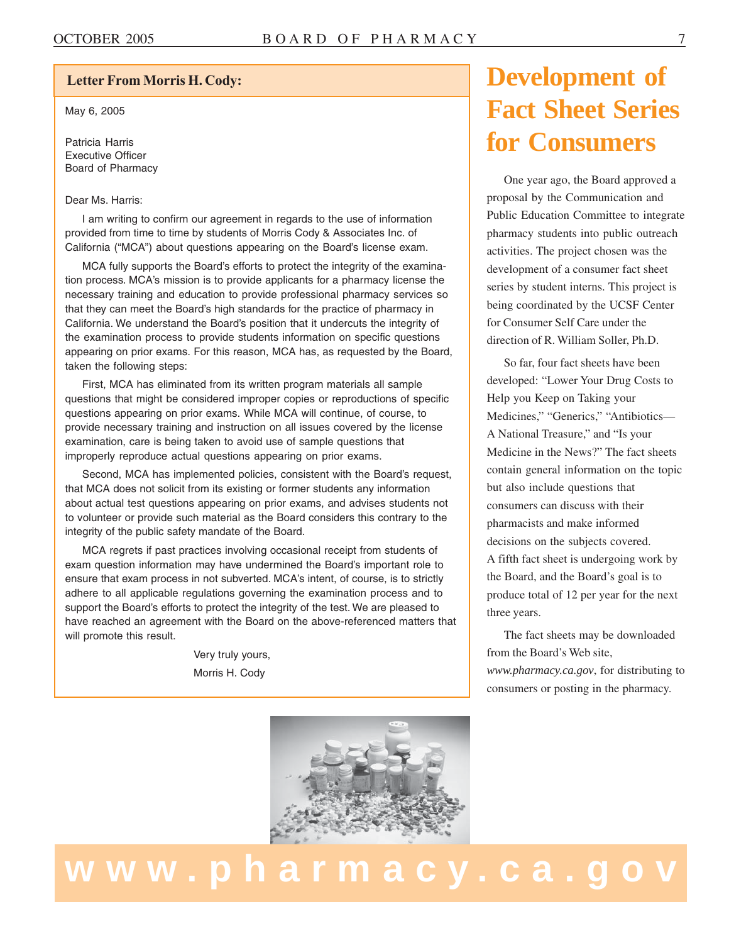### $\boxed{1}$ **Letter From Morris H. Cody:**

May 6, 2005

~

Patricia Harris Executive Officer Board of Pharmacy

#### Dear Ms. Harris:

I am writing to confirm our agreement in regards to the use of information provided from time to time by students of Morris Cody & Associates Inc. of California ("MCA") about questions appearing on the Board's license exam.

MCA fully supports the Board's efforts to protect the integrity of the examination process. MCA's mission is to provide applicants for a pharmacy license the necessary training and education to provide professional pharmacy services so that they can meet the Board's high standards for the practice of pharmacy in California. We understand the Board's position that it undercuts the integrity of the examination process to provide students information on specific questions appearing on prior exams. For this reason, MCA has, as requested by the Board, taken the following steps:

First, MCA has eliminated from its written program materials all sample questions that might be considered improper copies or reproductions of specific questions appearing on prior exams. While MCA will continue, of course, to provide necessary training and instruction on all issues covered by the license examination, care is being taken to avoid use of sample questions that improperly reproduce actual questions appearing on prior exams.

Second, MCA has implemented policies, consistent with the Board's request, that MCA does not solicit from its existing or former students any information about actual test questions appearing on prior exams, and advises students not to volunteer or provide such material as the Board considers this contrary to the integrity of the public safety mandate of the Board.

MCA regrets if past practices involving occasional receipt from students of exam question information may have undermined the Board's important role to ensure that exam process in not subverted. MCA's intent, of course, is to strictly adhere to all applicable regulations governing the examination process and to support the Board's efforts to protect the integrity of the test. We are pleased to have reached an agreement with the Board on the above-referenced matters that will promote this result.

l and the second control of the second control of the second control of the second control of the second control of

Very truly yours, Morris H. Cody



One year ago, the Board approved a proposal by the Communication and Public Education Committee to integrate pharmacy students into public outreach activities. The project chosen was the development of a consumer fact sheet series by student interns. This project is being coordinated by the UCSF Center for Consumer Self Care under the direction of R. William Soller, Ph.D.

So far, four fact sheets have been developed: "Lower Your Drug Costs to Help you Keep on Taking your Medicines," "Generics," "Antibiotics— A National Treasure," and "Is your Medicine in the News?" The fact sheets contain general information on the topic but also include questions that consumers can discuss with their pharmacists and make informed decisions on the subjects covered. A fifth fact sheet is undergoing work by the Board, and the Board's goal is to produce total of 12 per year for the next three years.

The fact sheets may be downloaded from the Board's Web site, *<www.pharmacy.ca.gov>*, for distributing to consumers or posting in the pharmacy.



## www.pharmacy.ca.go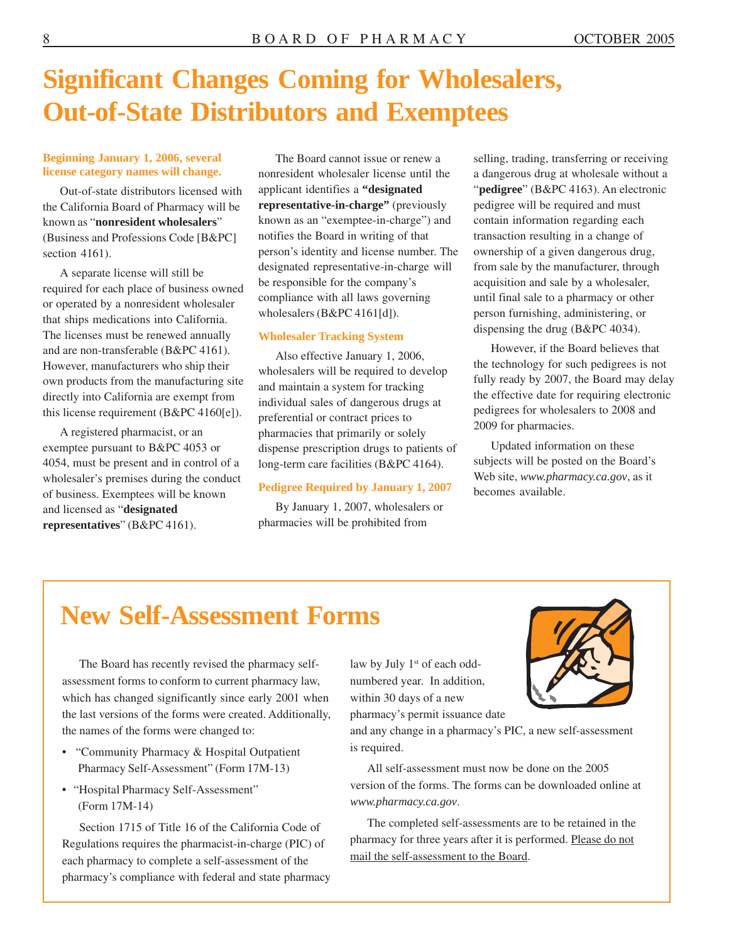### **Significant Changes Coming for Wholesalers, Out-of-State Distributors and Exemptees**

#### **Beginning January 1, 2006, several license category names will change.**

Out-of-state distributors licensed with the California Board of Pharmacy will be known as "**nonresident wholesalers**" (Business and Professions Code [B&PC] section 4161).

A separate license will still be required for each place of business owned or operated by a nonresident wholesaler that ships medications into California. The licenses must be renewed annually and are non-transferable (B&PC 4161). However, manufacturers who ship their own products from the manufacturing site directly into California are exempt from this license requirement (B&PC 4160[e]).

A registered pharmacist, or an exemptee pursuant to B&PC 4053 or 4054, must be present and in control of a wholesaler's premises during the conduct of business. Exemptees will be known and licensed as "**designated representatives**" (B&PC 4161).

The Board cannot issue or renew a nonresident wholesaler license until the applicant identifies a **"designated representative-in-charge"** (previously known as an "exemptee-in-charge") and notifies the Board in writing of that person's identity and license number. The designated representative-in-charge will be responsible for the company's compliance with all laws governing wholesalers (B&PC 4161[d]).

#### **Wholesaler Tracking System**

Also effective January 1, 2006, wholesalers will be required to develop and maintain a system for tracking individual sales of dangerous drugs at preferential or contract prices to pharmacies that primarily or solely dispense prescription drugs to patients of long-term care facilities (B&PC 4164).

#### **Pedigree Required by January 1, 2007**

By January 1, 2007, wholesalers or pharmacies will be prohibited from

selling, trading, transferring or receiving a dangerous drug at wholesale without a "**pedigree**" (B&PC 4163). An electronic pedigree will be required and must contain information regarding each transaction resulting in a change of ownership of a given dangerous drug, from sale by the manufacturer, through acquisition and sale by a wholesaler, until final sale to a pharmacy or other person furnishing, administering, or dispensing the drug (B&PC 4034).

However, if the Board believes that the technology for such pedigrees is not fully ready by 2007, the Board may delay the effective date for requiring electronic pedigrees for wholesalers to 2008 and 2009 for pharmacies.

Updated information on these subjects will be posted on the Board's Web site, *<www.pharmacy.ca.gov>*, as it becomes available.

### **New Self-Assessment Forms**

The Board has recently revised the pharmacy selfassessment forms to conform to current pharmacy law, which has changed significantly since early 2001 when the last versions of the forms were created. Additionally, the names of the forms were changed to:

- "Community Pharmacy & Hospital Outpatient Pharmacy Self-Assessment" (Form 17M-13)
- "Hospital Pharmacy Self-Assessment" (Form 17M-14)

Section 1715 of Title 16 of the California Code of Regulations requires the pharmacist-in-charge (PIC) of each pharmacy to complete a self-assessment of the pharmacy's compliance with federal and state pharmacy law by July 1<sup>st</sup> of each oddnumbered year. In addition, within 30 days of a new pharmacy's permit issuance date



and any change in a pharmacy's PIC, a new self-assessment is required.

All self-assessment must now be done on the 2005 version of the forms. The forms can be downloaded online at *<www.pharmacy.ca.gov>*.

The completed self-assessments are to be retained in the pharmacy for three years after it is performed. Please do not mail the self-assessment to the Board.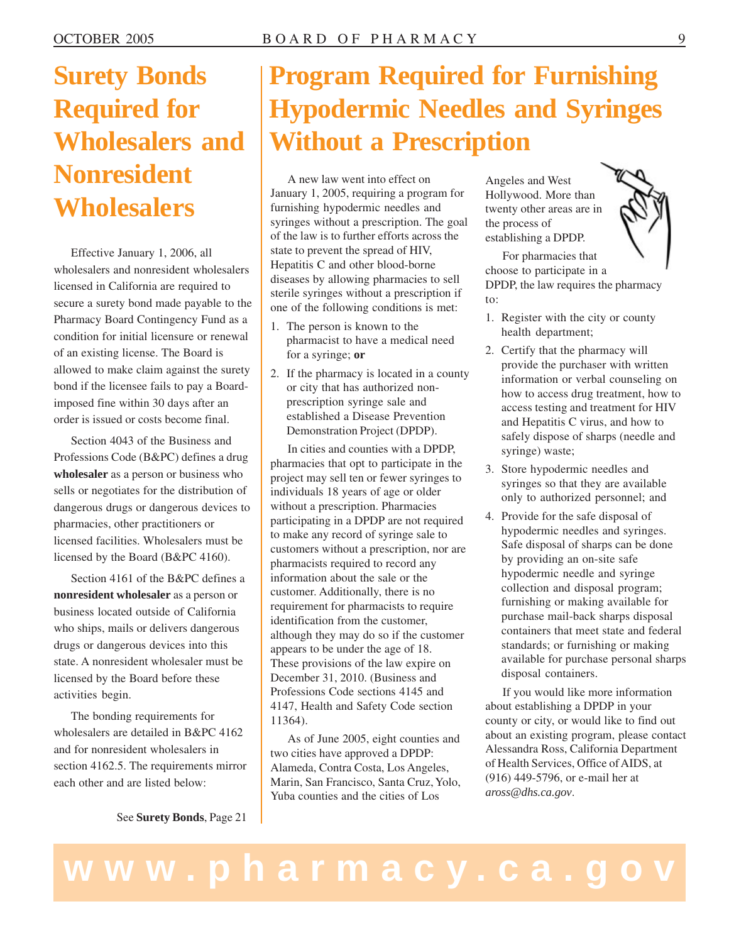## **Surety Bonds Required for Wholesalers and Nonresident Wholesalers**

Effective January 1, 2006, all wholesalers and nonresident wholesalers licensed in California are required to secure a surety bond made payable to the Pharmacy Board Contingency Fund as a condition for initial licensure or renewal of an existing license. The Board is allowed to make claim against the surety bond if the licensee fails to pay a Boardimposed fine within 30 days after an order is issued or costs become final.

Section 4043 of the Business and Professions Code (B&PC) defines a drug **wholesaler** as a person or business who sells or negotiates for the distribution of dangerous drugs or dangerous devices to pharmacies, other practitioners or licensed facilities. Wholesalers must be licensed by the Board (B&PC 4160).

Section 4161 of the B&PC defines a **nonresident wholesaler** as a person or business located outside of California who ships, mails or delivers dangerous drugs or dangerous devices into this state. A nonresident wholesaler must be licensed by the Board before these activities begin.

The bonding requirements for wholesalers are detailed in B&PC 4162 and for nonresident wholesalers in section 4162.5. The requirements mirror each other and are listed below:

See **Surety Bonds**, Page 21

## **Program Required for Furnishing Hypodermic Needles and Syringes Without a Prescription**

A new law went into effect on January 1, 2005, requiring a program for furnishing hypodermic needles and syringes without a prescription. The goal of the law is to further efforts across the state to prevent the spread of HIV, Hepatitis C and other blood-borne diseases by allowing pharmacies to sell sterile syringes without a prescription if one of the following conditions is met:

- 1. The person is known to the pharmacist to have a medical need for a syringe; **or**
- 2. If the pharmacy is located in a county or city that has authorized nonprescription syringe sale and established a Disease Prevention Demonstration Project (DPDP).

In cities and counties with a DPDP, pharmacies that opt to participate in the project may sell ten or fewer syringes to individuals 18 years of age or older without a prescription. Pharmacies participating in a DPDP are not required to make any record of syringe sale to customers without a prescription, nor are pharmacists required to record any information about the sale or the customer. Additionally, there is no requirement for pharmacists to require identification from the customer, although they may do so if the customer appears to be under the age of 18. These provisions of the law expire on December 31, 2010. (Business and Professions Code sections 4145 and 4147, Health and Safety Code section 11364).

As of June 2005, eight counties and two cities have approved a DPDP: Alameda, Contra Costa, Los Angeles, Marin, San Francisco, Santa Cruz, Yolo, Yuba counties and the cities of Los

Angeles and West Hollywood. More than twenty other areas are in the process of establishing a DPDP.



For pharmacies that choose to participate in a DPDP, the law requires the pharmacy to:

- 1. Register with the city or county health department;
- 2. Certify that the pharmacy will provide the purchaser with written information or verbal counseling on how to access drug treatment, how to access testing and treatment for HIV and Hepatitis C virus, and how to safely dispose of sharps (needle and syringe) waste;
- 3. Store hypodermic needles and syringes so that they are available only to authorized personnel; and
- 4. Provide for the safe disposal of hypodermic needles and syringes. Safe disposal of sharps can be done by providing an on-site safe hypodermic needle and syringe collection and disposal program; furnishing or making available for purchase mail-back sharps disposal containers that meet state and federal standards; or furnishing or making available for purchase personal sharps disposal containers.

If you would like more information about establishing a DPDP in your county or city, or would like to find out about an existing program, please contact Alessandra Ross, California Department of Health Services, Office of AIDS, at (916) 449-5796, or e-mail her at *[aross@dhs.ca.gov](mailto:aross@dhs.ca.gov)*.

## **www.pharmacy.ca.gov**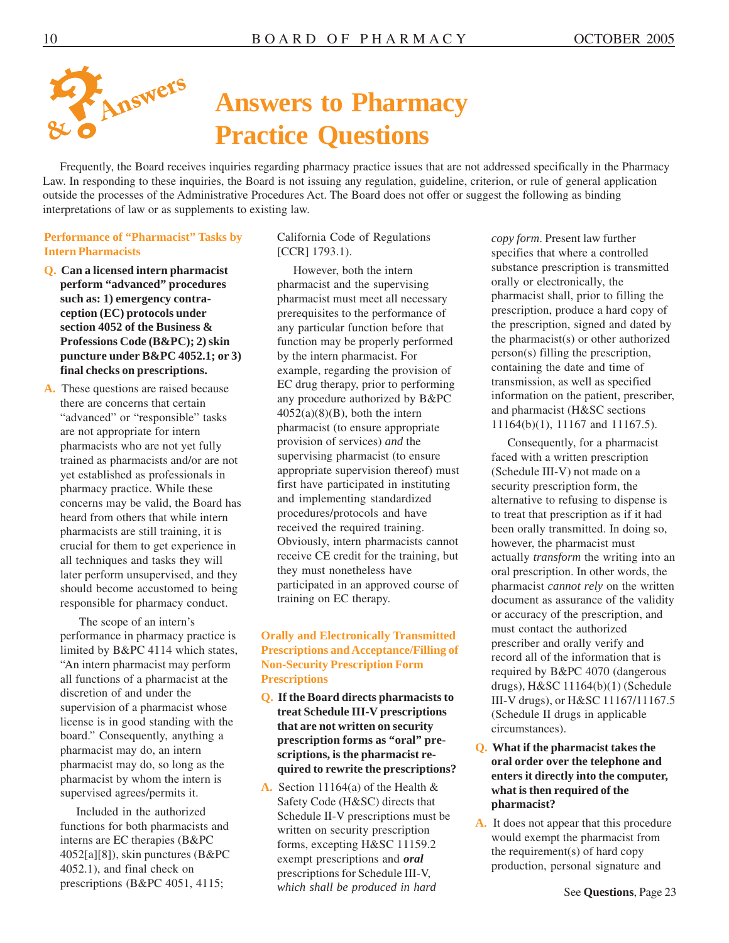

## **Answers to Pharmacy Practice Questions**

Frequently, the Board receives inquiries regarding pharmacy practice issues that are not addressed specifically in the Pharmacy Law. In responding to these inquiries, the Board is not issuing any regulation, guideline, criterion, or rule of general application outside the processes of the Administrative Procedures Act. The Board does not offer or suggest the following as binding interpretations of law or as supplements to existing law.

#### **Performance of "Pharmacist" Tasks by Intern Pharmacists**

- **Q. Can a licensed intern pharmacist perform "advanced" procedures such as: 1) emergency contraception (EC) protocols under section 4052 of the Business & Professions Code (B&PC); 2) skin puncture under B&PC 4052.1; or 3) final checks on prescriptions.**
- **A.** These questions are raised because there are concerns that certain "advanced" or "responsible" tasks are not appropriate for intern pharmacists who are not yet fully trained as pharmacists and/or are not yet established as professionals in pharmacy practice. While these concerns may be valid, the Board has heard from others that while intern pharmacists are still training, it is crucial for them to get experience in all techniques and tasks they will later perform unsupervised, and they should become accustomed to being responsible for pharmacy conduct.

The scope of an intern's performance in pharmacy practice is limited by B&PC 4114 which states, "An intern pharmacist may perform all functions of a pharmacist at the discretion of and under the supervision of a pharmacist whose license is in good standing with the board." Consequently, anything a pharmacist may do, an intern pharmacist may do, so long as the pharmacist by whom the intern is supervised agrees/permits it.

Included in the authorized functions for both pharmacists and interns are EC therapies (B&PC 4052[a][8]), skin punctures (B&PC 4052.1), and final check on prescriptions (B&PC 4051, 4115;

#### California Code of Regulations [CCR] 1793.1).

However, both the intern pharmacist and the supervising pharmacist must meet all necessary prerequisites to the performance of any particular function before that function may be properly performed by the intern pharmacist. For example, regarding the provision of EC drug therapy, prior to performing any procedure authorized by B&PC  $4052(a)(8)(B)$ , both the intern pharmacist (to ensure appropriate provision of services) *and* the supervising pharmacist (to ensure appropriate supervision thereof) must first have participated in instituting and implementing standardized procedures/protocols and have received the required training. Obviously, intern pharmacists cannot receive CE credit for the training, but they must nonetheless have participated in an approved course of training on EC therapy.

#### **Orally and Electronically Transmitted Prescriptions and Acceptance/Filling of Non-Security Prescription Form Prescriptions**

- **Q. If the Board directs pharmacists to treat Schedule III-V prescriptions that are not written on security prescription forms as "oral" prescriptions, is the pharmacist required to rewrite the prescriptions?**
- **A.** Section 11164(a) of the Health & Safety Code (H&SC) directs that Schedule II-V prescriptions must be written on security prescription forms, excepting H&SC 11159.2 exempt prescriptions and *oral*  prescriptions for Schedule III-V, *which shall be produced in hard*

*copy form*. Present law further specifies that where a controlled substance prescription is transmitted orally or electronically, the pharmacist shall, prior to filling the prescription, produce a hard copy of the prescription, signed and dated by the pharmacist(s) or other authorized person(s) filling the prescription, containing the date and time of transmission, as well as specified information on the patient, prescriber, and pharmacist (H&SC sections 11164(b)(1), 11167 and 11167.5).

Consequently, for a pharmacist faced with a written prescription (Schedule III-V) not made on a security prescription form, the alternative to refusing to dispense is to treat that prescription as if it had been orally transmitted. In doing so, however, the pharmacist must actually *transform* the writing into an oral prescription. In other words, the pharmacist *cannot rely* on the written document as assurance of the validity or accuracy of the prescription, and must contact the authorized prescriber and orally verify and record all of the information that is required by B&PC 4070 (dangerous drugs), H&SC 11164(b)(1) (Schedule III-V drugs), or H&SC 11167/11167.5 (Schedule II drugs in applicable circumstances).

- **Q. What if the pharmacist takes the oral order over the telephone and enters it directly into the computer, what is then required of the pharmacist?**
- **A.** It does not appear that this procedure would exempt the pharmacist from the requirement(s) of hard copy production, personal signature and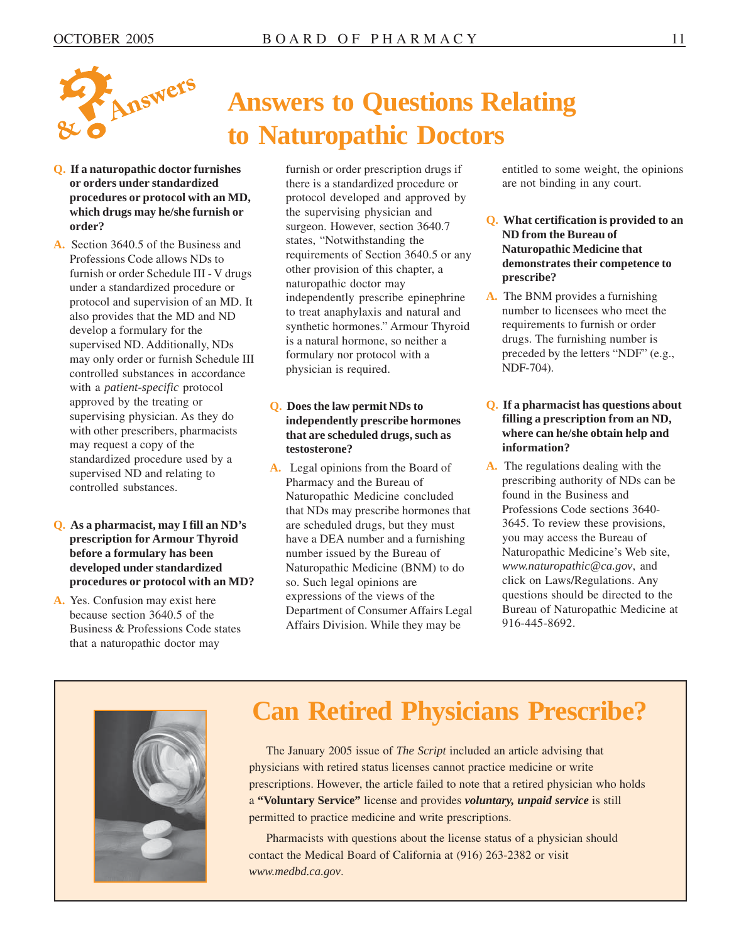

- **Q. If a naturopathic doctor furnishes or orders under standardized procedures or protocol with an MD, which drugs may he/she furnish or order?**
- **A.** Section 3640.5 of the Business and Professions Code allows NDs to furnish or order Schedule III - V drugs under a standardized procedure or protocol and supervision of an MD. It also provides that the MD and ND develop a formulary for the supervised ND. Additionally, NDs may only order or furnish Schedule III controlled substances in accordance with a *patient-specific* protocol approved by the treating or supervising physician. As they do with other prescribers, pharmacists may request a copy of the standardized procedure used by a supervised ND and relating to controlled substances.
- **Q. As a pharmacist, may I fill an ND's prescription for Armour Thyroid before a formulary has been developed under standardized procedures or protocol with an MD?**
- **A.** Yes. Confusion may exist here because section 3640.5 of the Business & Professions Code states that a naturopathic doctor may

# **Answers to Questions Relating to Naturopathic Doctors**

furnish or order prescription drugs if there is a standardized procedure or protocol developed and approved by the supervising physician and surgeon. However, section 3640.7 states, "Notwithstanding the requirements of Section 3640.5 or any other provision of this chapter, a naturopathic doctor may independently prescribe epinephrine to treat anaphylaxis and natural and synthetic hormones." Armour Thyroid is a natural hormone, so neither a formulary nor protocol with a physician is required.

#### **Q. Does the law permit NDs to independently prescribe hormones that are scheduled drugs, such as testosterone?**

**A.** Legal opinions from the Board of Pharmacy and the Bureau of Naturopathic Medicine concluded that NDs may prescribe hormones that are scheduled drugs, but they must have a DEA number and a furnishing number issued by the Bureau of Naturopathic Medicine (BNM) to do so. Such legal opinions are expressions of the views of the Department of Consumer Affairs Legal Affairs Division. While they may be

entitled to some weight, the opinions are not binding in any court.

- **Q. What certification is provided to an ND from the Bureau of Naturopathic Medicine that demonstrates their competence to prescribe?**
- **A.** The BNM provides a furnishing number to licensees who meet the requirements to furnish or order drugs. The furnishing number is preceded by the letters "NDF" (e.g., NDF-704).

#### **Q. If a pharmacist has questions about filling a prescription from an ND, where can he/she obtain help and information?**

**A.** The regulations dealing with the prescribing authority of NDs can be found in the Business and Professions Code sections 3640- 3645. To review these provisions, you may access the Bureau of Naturopathic Medicine's Web site, *<www.naturopathic@ca.gov>*, and click on Laws/Regulations. Any questions should be directed to the Bureau of Naturopathic Medicine at 916-445-8692.



### **Can Retired Physicians Prescribe?**

The January 2005 issue of *The Script* included an article advising that physicians with retired status licenses cannot practice medicine or write prescriptions. However, the article failed to note that a retired physician who holds a **"Voluntary Service"** license and provides *voluntary, unpaid service* is still permitted to practice medicine and write prescriptions.

Pharmacists with questions about the license status of a physician should contact the Medical Board of California at (916) 263-2382 or visit *<www.medbd.ca.gov>*.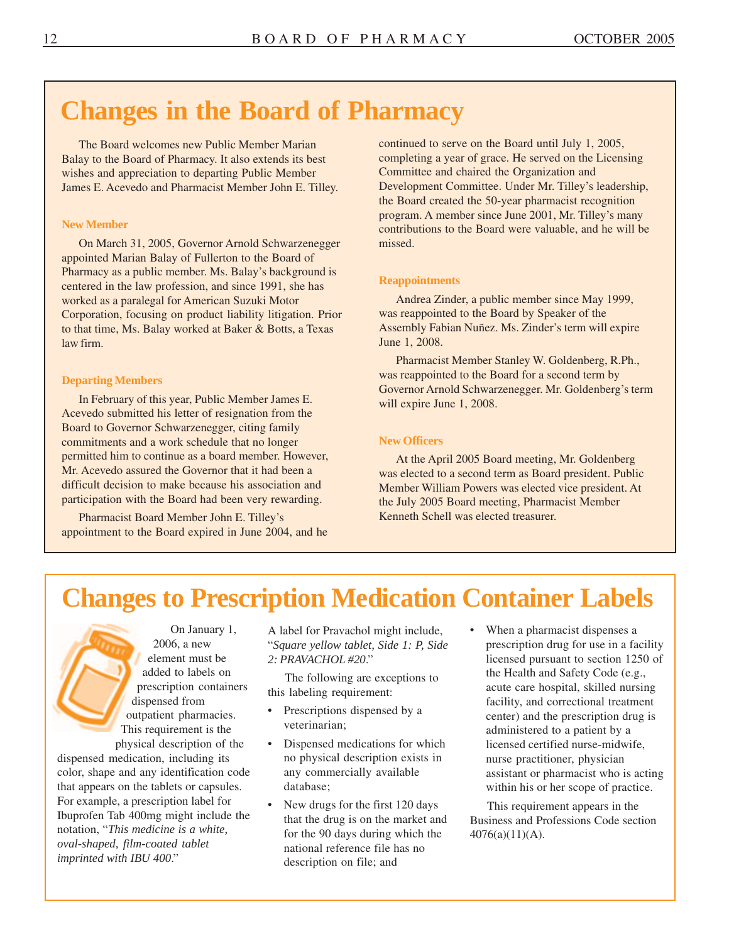### **Changes in the Board of Pharmacy**

The Board welcomes new Public Member Marian Balay to the Board of Pharmacy. It also extends its best wishes and appreciation to departing Public Member James E. Acevedo and Pharmacist Member John E. Tilley.

#### **New Member**

On March 31, 2005, Governor Arnold Schwarzenegger appointed Marian Balay of Fullerton to the Board of Pharmacy as a public member. Ms. Balay's background is centered in the law profession, and since 1991, she has worked as a paralegal for American Suzuki Motor Corporation, focusing on product liability litigation. Prior to that time, Ms. Balay worked at Baker & Botts, a Texas law firm.

#### **Departing Members**

In February of this year, Public Member James E. Acevedo submitted his letter of resignation from the Board to Governor Schwarzenegger, citing family commitments and a work schedule that no longer permitted him to continue as a board member. However, Mr. Acevedo assured the Governor that it had been a difficult decision to make because his association and participation with the Board had been very rewarding.

Pharmacist Board Member John E. Tilley's appointment to the Board expired in June 2004, and he continued to serve on the Board until July 1, 2005, completing a year of grace. He served on the Licensing Committee and chaired the Organization and Development Committee. Under Mr. Tilley's leadership, the Board created the 50-year pharmacist recognition program. A member since June 2001, Mr. Tilley's many contributions to the Board were valuable, and he will be missed.

#### **Reappointments**

Andrea Zinder, a public member since May 1999, was reappointed to the Board by Speaker of the Assembly Fabian Nuñez. Ms. Zinder's term will expire June 1, 2008.

Pharmacist Member Stanley W. Goldenberg, R.Ph., was reappointed to the Board for a second term by Governor Arnold Schwarzenegger. Mr. Goldenberg's term will expire June 1, 2008.

#### **New Officers**

At the April 2005 Board meeting, Mr. Goldenberg was elected to a second term as Board president. Public Member William Powers was elected vice president. At the July 2005 Board meeting, Pharmacist Member Kenneth Schell was elected treasurer.

### **Changes to Prescription Medication Container Labels**

dispensed medication, including its no physical description exists in nurse practitioner, physician color, shape and any identification code any commercially available assistant or pharmacist who i that appears on the tablets or capsules. database; within his or her scope of practice.<br>For example, a prescription label for  $\bullet$  New drugs for the first 120 days This requirement appears in the For example, a prescription label for **New drugs for the first 120 days** This requirement appears in the Ibuprofen Tab 400mg might include the that the drug is on the market and Business and Professions Code section for t notation, "*I his medicine is a white*,  $100 \text{ days}$  for the 90 days during which the 4076(a)(11)(A). *oval-shaped, film-coated tablet national reference file has no description on file: and description on file: and* 

On January 1, A label for Pravachol might include, • When a pharmacist dispenses a

- 
- physical description of the Dispensed medications for which licensed certified nurse-midwife,
	- description on file; and
- 2006, a new "*Square yellow tablet, Side 1: P, Side* prescription drug for use in a facility element must be *2: PRAVACHOL #20*." licensed pursuant to section 1250 of added to labels on The following are exceptions to<br>
the Health and Safety Code (e.g.,<br>
this labeling requirement:<br>
dispensed from the Prescription dispensed by a<br>
This requirement is the veterinarian;<br>
This requirement is any commercially available assistant or pharmacist who is acting<br>database: within his or her scope of practice.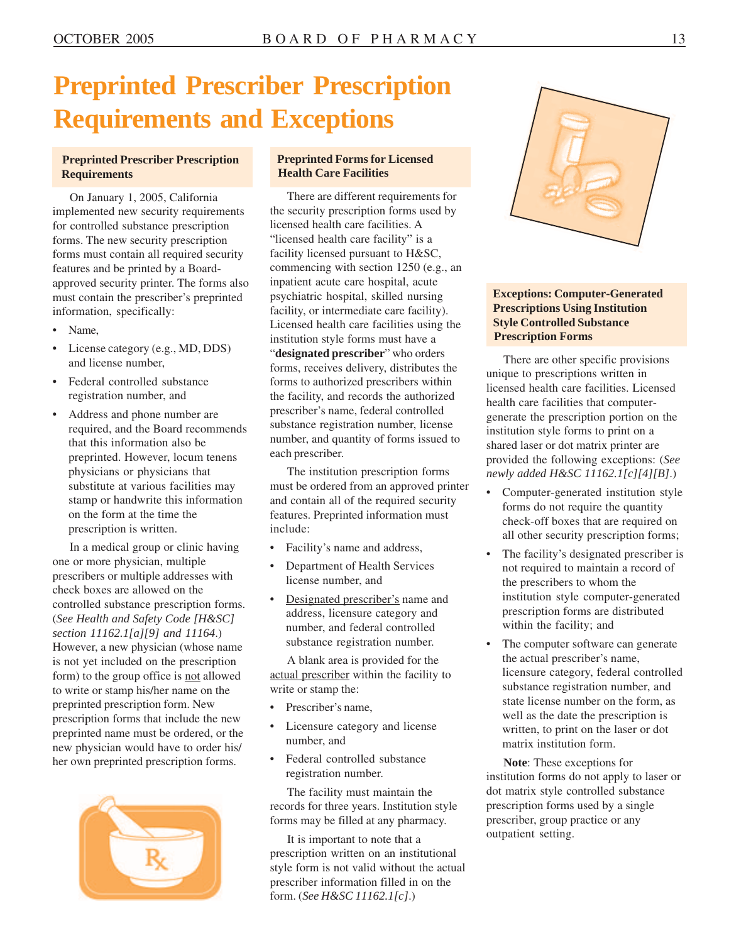## **Preprinted Prescriber Prescription Requirements and Exceptions**

#### **Preprinted Prescriber Prescription Requirements**

On January 1, 2005, California implemented new security requirements for controlled substance prescription forms. The new security prescription forms must contain all required security features and be printed by a Boardapproved security printer. The forms also must contain the prescriber's preprinted information, specifically:

- Name,
- License category (e.g., MD, DDS) and license number,
- Federal controlled substance registration number, and
- Address and phone number are required, and the Board recommends that this information also be preprinted. However, locum tenens physicians or physicians that substitute at various facilities may stamp or handwrite this information on the form at the time the prescription is written.

In a medical group or clinic having one or more physician, multiple prescribers or multiple addresses with check boxes are allowed on the controlled substance prescription forms. (*See Health and Safety Code [H&SC] section 11162.1[a][9] and 11164*.) However, a new physician (whose name is not yet included on the prescription form) to the group office is not allowed to write or stamp his/her name on the preprinted prescription form. New prescription forms that include the new preprinted name must be ordered, or the new physician would have to order his/ her own preprinted prescription forms.



#### **Preprinted Forms for Licensed Health Care Facilities**

There are different requirements for the security prescription forms used by licensed health care facilities. A "licensed health care facility" is a facility licensed pursuant to H&SC, commencing with section 1250 (e.g., an inpatient acute care hospital, acute psychiatric hospital, skilled nursing facility, or intermediate care facility). Licensed health care facilities using the institution style forms must have a "**designated prescriber**" who orders forms, receives delivery, distributes the forms to authorized prescribers within the facility, and records the authorized prescriber's name, federal controlled substance registration number, license number, and quantity of forms issued to each prescriber.

The institution prescription forms must be ordered from an approved printer and contain all of the required security features. Preprinted information must include:

- Facility's name and address,
- Department of Health Services license number, and
- Designated prescriber's name and address, licensure category and number, and federal controlled substance registration number.

A blank area is provided for the actual prescriber within the facility to write or stamp the:

- Prescriber's name,
- Licensure category and license number, and
- Federal controlled substance registration number.

The facility must maintain the records for three years. Institution style forms may be filled at any pharmacy.

It is important to note that a prescription written on an institutional style form is not valid without the actual prescriber information filled in on the form. (*See H&SC 11162.1[c]*.)



#### **Exceptions: Computer-Generated Prescriptions Using Institution Style Controlled Substance Prescription Forms**

There are other specific provisions unique to prescriptions written in licensed health care facilities. Licensed health care facilities that computergenerate the prescription portion on the institution style forms to print on a shared laser or dot matrix printer are provided the following exceptions: (*See newly added H&SC 11162.1[c][4][B]*.)

- Computer-generated institution style forms do not require the quantity check-off boxes that are required on all other security prescription forms;
- The facility's designated prescriber is not required to maintain a record of the prescribers to whom the institution style computer-generated prescription forms are distributed within the facility; and
- The computer software can generate the actual prescriber's name, licensure category, federal controlled substance registration number, and state license number on the form, as well as the date the prescription is written, to print on the laser or dot matrix institution form.

**Note**: These exceptions for institution forms do not apply to laser or dot matrix style controlled substance prescription forms used by a single prescriber, group practice or any outpatient setting.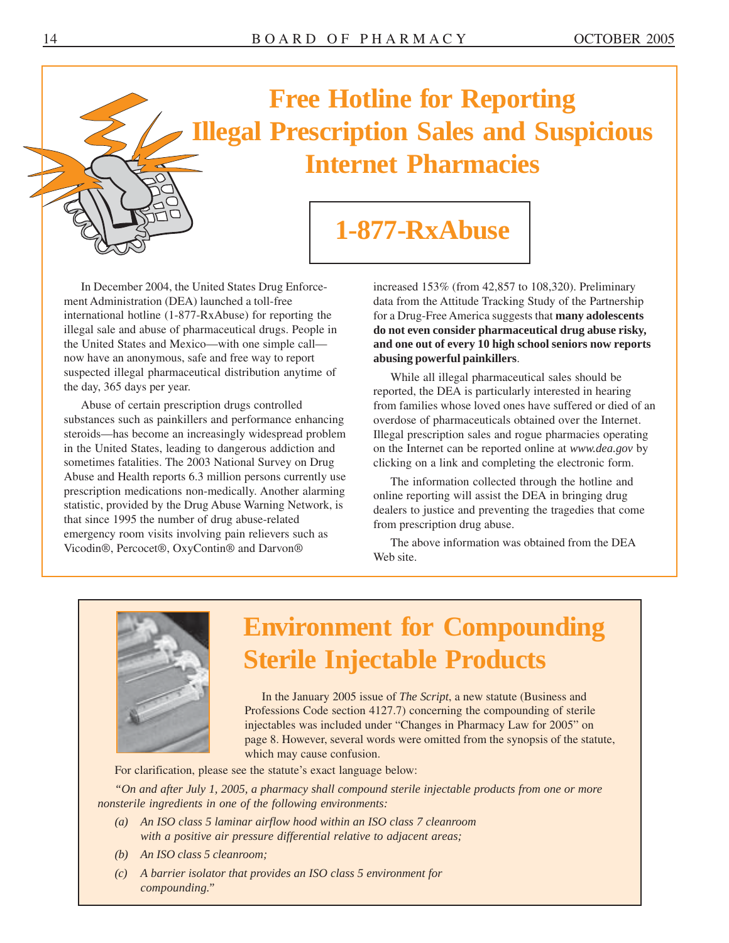

## **Free Hotline for Reporting Illegal Prescription Sales and Suspicious Internet Pharmacies**

### **1-877-RxAbuse**

In December 2004, the United States Drug Enforce- increased 153% (from 42,857 to 108,320). Preliminary ment Administration (DEA) launched a toll-free data from the Attitude Tracking Study of the Partnership now have an anonymous, safe and free way to report **abusing powerful painkillers**.<br>
suspected illegal pharmaceutical distribution anytime of While all illegal pharmaceutical

substances such as painkillers and performance enhancing overdose of pharmaceuticals obtained over the Internet. steroids—has become an increasingly widespread problem Illegal prescription sales and rogue pharmacies operating in the United States, leading to dangerous addiction and on the Internet can be reported online at *<www.dea.gov>* by sometimes fatalities. The 2003 National Survey on Drug clicking on a link and completing the electronic form. Abuse and Health reports 6.3 million persons currently use The information collected through the hotline and<br>prescription medications non-medically. Another alarming<br>statistic, provided by the Drug Abuse Warning Network, i

international hotline (1-877-RxAbuse) for reporting the for a Drug-Free America suggests that **many adolescents** illegal sale and abuse of pharmaceutical drugs. People in **do not even consider pharmaceutical drug abuse risky,**  the United States and Mexico—with one simple call— **and one out of every 10 high school seniors now reports** 

suspected illegal pharmaceutical distribution anytime of While all illegal pharmaceutical sales should be the day, 365 days per year. The day, 365 days per year. Abuse of certain prescription drugs controlled from families whose loved ones have suffered or died of an



## **Environment for Compounding Sterile Injectable Products**

In the January 2005 issue of *The Script*, a new statute (Business and Professions Code section 4127.7) concerning the compounding of sterile injectables was included under "Changes in Pharmacy Law for 2005" on page 8. However, several words were omitted from the synopsis of the statute, which may cause confusion.

For clarification, please see the statute's exact language below:

*"On and after July 1, 2005, a pharmacy shall compound sterile injectable products from one or more nonsterile ingredients in one of the following environments:* 

- *(a) An ISO class 5 laminar airflow hood within an ISO class 7 cleanroom with a positive air pressure differential relative to adjacent areas;*
- *(b) An ISO class 5 cleanroom;*
- *(c) A barrier isolator that provides an ISO class 5 environment for compounding."*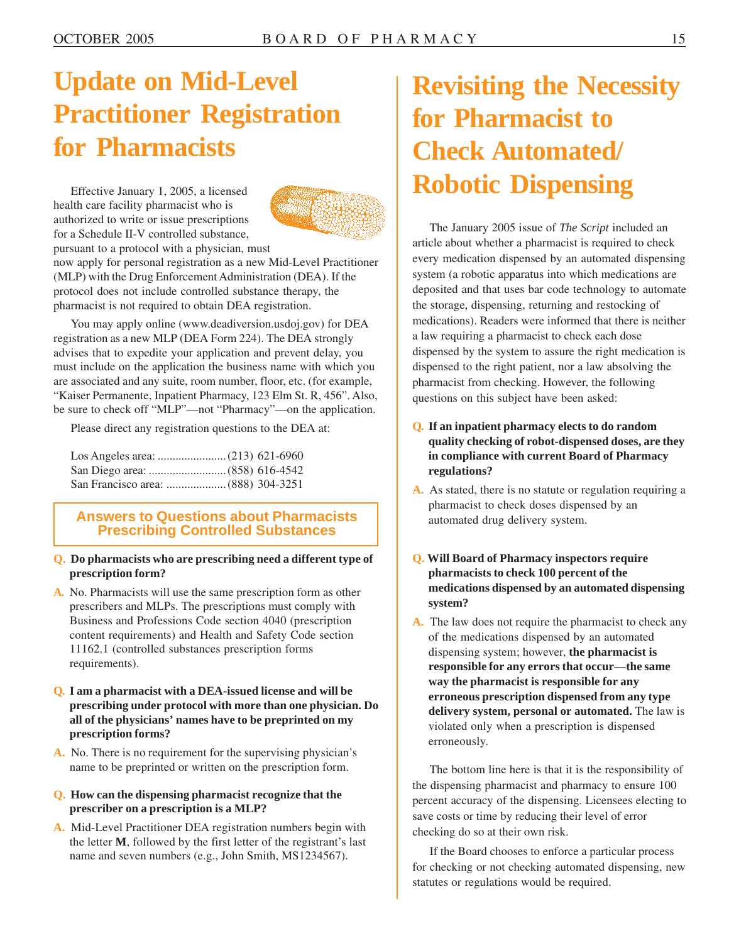## **Update on Mid-Level Practitioner Registration for Pharmacists**

Effective January 1, 2005, a licensed health care facility pharmacist who is authorized to write or issue prescriptions for a Schedule II-V controlled substance, pursuant to a protocol with a physician, must



now apply for personal registration as a new Mid-Level Practitioner (MLP) with the Drug Enforcement Administration (DEA). If the protocol does not include controlled substance therapy, the pharmacist is not required to obtain DEA registration.

You may apply online [\(www.deadiversion.usdoj.gov](www.deadiversion.usdoj.gov)) for DEA registration as a new MLP (DEA Form 224). The DEA strongly advises that to expedite your application and prevent delay, you must include on the application the business name with which you are associated and any suite, room number, floor, etc. (for example, "Kaiser Permanente, Inpatient Pharmacy, 123 Elm St. R, 456". Also, be sure to check off "MLP"—not "Pharmacy"—on the application.

| <b>Answers to Questions about Pharmacists</b> |
|-----------------------------------------------|
|                                               |
|                                               |
|                                               |

### **Answers to Questions about Pharmacists Prescribing Controlled Substances**

#### **Q. Do pharmacists who are prescribing need a different type of prescription form?**

- **A.** No. Pharmacists will use the same prescription form as other prescribers and MLPs. The prescriptions must comply with Business and Professions Code section 4040 (prescription content requirements) and Health and Safety Code section 11162.1 (controlled substances prescription forms requirements).
- **Q. I am a pharmacist with a DEA-issued license and will be prescribing under protocol with more than one physician. Do all of the physicians' names have to be preprinted on my prescription forms?**
- **A.** No. There is no requirement for the supervising physician's name to be preprinted or written on the prescription form.

#### **Q. How can the dispensing pharmacist recognize that the prescriber on a prescription is a MLP?**

**A.** Mid-Level Practitioner DEA registration numbers begin with the letter **M**, followed by the first letter of the registrant's last name and seven numbers (e.g., John Smith, MS1234567).

### **Revisiting the Necessity for Pharmacist to Check Automated/ Robotic Dispensing**

The January 2005 issue of *The Script* included an article about whether a pharmacist is required to check every medication dispensed by an automated dispensing system (a robotic apparatus into which medications are deposited and that uses bar code technology to automate the storage, dispensing, returning and restocking of medications). Readers were informed that there is neither a law requiring a pharmacist to check each dose dispensed by the system to assure the right medication is dispensed to the right patient, nor a law absolving the pharmacist from checking. However, the following questions on this subject have been asked:

#### **Q. If an inpatient pharmacy elects to do random quality checking of robot-dispensed doses, are they in compliance with current Board of Pharmacy regulations?**

- **A.** As stated, there is no statute or regulation requiring a pharmacist to check doses dispensed by an automated drug delivery system.
- **Q. Will Board of Pharmacy inspectors require pharmacists to check 100 percent of the medications dispensed by an automated dispensing system?**
- **A.** The law does not require the pharmacist to check any of the medications dispensed by an automated dispensing system; however, **the pharmacist is responsible for any errors that occur**—**the same way the pharmacist is responsible for any erroneous prescription dispensed from any type delivery system, personal or automated.** The law is violated only when a prescription is dispensed erroneously.

The bottom line here is that it is the responsibility of the dispensing pharmacist and pharmacy to ensure 100 percent accuracy of the dispensing. Licensees electing to save costs or time by reducing their level of error checking do so at their own risk.

If the Board chooses to enforce a particular process for checking or not checking automated dispensing, new statutes or regulations would be required.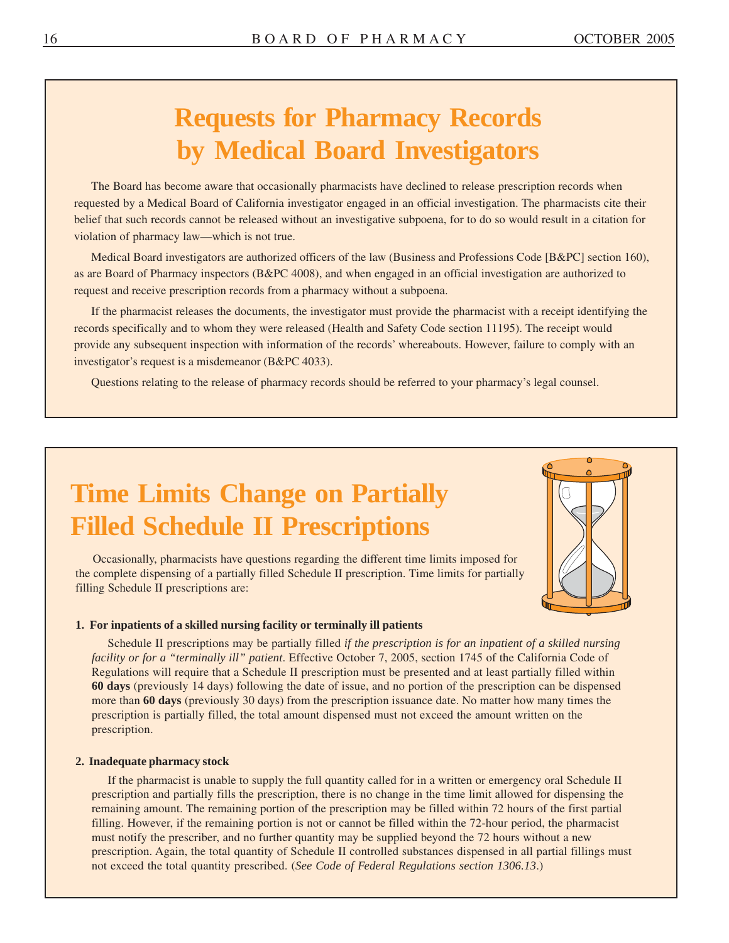## **Requests for Pharmacy Records by Medical Board Investigators**

The Board has become aware that occasionally pharmacists have declined to release prescription records when requested by a Medical Board of California investigator engaged in an official investigation. The pharmacists cite their belief that such records cannot be released without an investigative subpoena, for to do so would result in a citation for violation of pharmacy law—which is not true.

Medical Board investigators are authorized officers of the law (Business and Professions Code [B&PC] section 160), as are Board of Pharmacy inspectors (B&PC 4008), and when engaged in an official investigation are authorized to request and receive prescription records from a pharmacy without a subpoena.

If the pharmacist releases the documents, the investigator must provide the pharmacist with a receipt identifying the records specifically and to whom they were released (Health and Safety Code section 11195). The receipt would provide any subsequent inspection with information of the records' whereabouts. However, failure to comply with an investigator's request is a misdemeanor (B&PC 4033).

Questions relating to the release of pharmacy records should be referred to your pharmacy's legal counsel.

## **Time Limits Change on Partially Filled Schedule II Prescriptions**

Occasionally, pharmacists have questions regarding the different time limits imposed for the complete dispensing of a partially filled Schedule II prescription. Time limits for partially filling Schedule II prescriptions are:



#### **1. For inpatients of a skilled nursing facility or terminally ill patients**

Schedule II prescriptions may be partially filled *if the prescription is for an inpatient of a skilled nursing facility or for a "terminally ill" patient*. Effective October 7, 2005, section 1745 of the California Code of Regulations will require that a Schedule II prescription must be presented and at least partially filled within **60 days** (previously 14 days) following the date of issue, and no portion of the prescription can be dispensed more than **60 days** (previously 30 days) from the prescription issuance date. No matter how many times the prescription is partially filled, the total amount dispensed must not exceed the amount written on the prescription.

#### **2. Inadequate pharmacy stock**

If the pharmacist is unable to supply the full quantity called for in a written or emergency oral Schedule II prescription and partially fills the prescription, there is no change in the time limit allowed for dispensing the remaining amount. The remaining portion of the prescription may be filled within 72 hours of the first partial filling. However, if the remaining portion is not or cannot be filled within the 72-hour period, the pharmacist must notify the prescriber, and no further quantity may be supplied beyond the 72 hours without a new prescription. Again, the total quantity of Schedule II controlled substances dispensed in all partial fillings must not exceed the total quantity prescribed. (*See Code of Federal Regulations section 1306.13*.)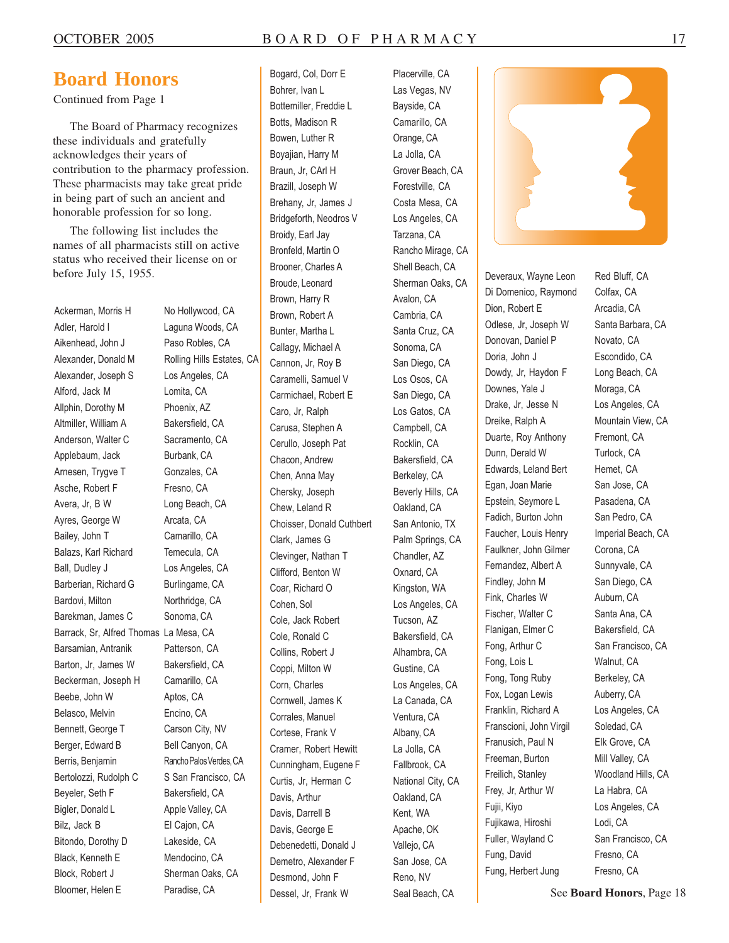### **Board Honors**

Continued from Page 1

The Board of Pharmacy recognizes these individuals and gratefully acknowledges their years of contribution to the pharmacy profession. These pharmacists may take great pride in being part of such an ancient and honorable profession for so long.

The following list includes the names of all pharmacists still on active status who received their license on or before July 15, 1955.

Adler, Harold I Laguna Woods, CA Aikenhead, John J Paso Robles, CA Alexander, Donald M Rolling Hills Estates, CA Alexander, Joseph S Los Angeles, CA Alford, Jack M Lomita, CA Allphin, Dorothy M Phoenix, AZ Altmiller, William A Bakersfield, CA Anderson, Walter C Sacramento, CA Applebaum, Jack Burbank, CA Arnesen, Trygve T Gonzales, CA Asche, Robert F Fresno, CA Avera, Jr, B W Long Beach, CA Ayres, George W Arcata, CA Bailey, John T Camarillo, CA Balazs, Karl Richard Temecula, CA Ball, Dudley J Los Angeles, CA Barberian, Richard G Burlingame, CA Bardovi, Milton Northridge, CA Barekman, James C Sonoma, CA Barrack, Sr, Alfred Thomas La Mesa, CA Barsamian, Antranik Patterson, CA Barton, Jr, James W Bakersfield, CA Beckerman, Joseph H Camarillo, CA Beebe, John W Aptos, CA Belasco, Melvin Encino, CA Bennett, George T Carson City, NV Berger, Edward B Bell Canyon, CA Berris, Benjamin Rancho Palos Verdes, CA Bertolozzi, Rudolph C S San Francisco, CA Beyeler, Seth F Bakersfield, CA Bigler, Donald L Apple Valley, CA Bilz, Jack B El Cajon, CA Bitondo, Dorothy D Lakeside, CA Black, Kenneth E Mendocino, CA Block, Robert J Sherman Oaks, CA Bloomer, Helen E Paradise, CA

Ackerman, Morris H No Hollywood, CA

Bogard, Col, Dorr E Placerville, CA Bohrer, Ivan L<br>
Las Vegas, NV Bottemiller, Freddie L<br>Bayside, CA Botts, Madison R Camarillo, CA Bowen, Luther R Crange, CA Boyajian, Harry M La Jolla, CA Braun, Jr, CArl H Grover Beach, CA Brazill, Joseph W Forestville, CA Brehany, Jr, James J Costa Mesa, CA Bridgeforth, Neodros V Los Angeles, CA Broidy, Earl Jay Tarzana, CA Bronfeld, Martin O Rancho Mirage, CA Brooner, Charles A Shell Beach, CA Broude, Leonard Sherman Oaks, CA Brown, Harry R Avalon, CA Brown, Robert A Cambria, CA Bunter, Martha L Santa Cruz, CA Callagy, Michael A Sonoma, CA Cannon, Jr, Roy B San Diego, CA Caramelli, Samuel V Los Osos, CA Carmichael, Robert E San Diego, CA Caro, Jr, Ralph Los Gatos, CA Carusa, Stephen A Campbell, CA Cerullo, Joseph Pat Rocklin, CA Chacon, Andrew Bakersfield, CA Chen, Anna May Berkeley, CA Chersky, Joseph Beverly Hills, CA Chew, Leland R Oakland, CA Choisser, Donald Cuthbert San Antonio, TX Clark, James G Palm Springs, CA Clevinger, Nathan T Chandler, AZ Clifford, Benton W Oxnard, CA Coar, Richard O Kingston, WA Cohen, Sol Los Angeles, CA Cole, Jack Robert Tucson, AZ Cole, Ronald C Bakersfield, CA Collins, Robert J Alhambra, CA Coppi, Milton W Gustine, CA Corn, Charles Los Angeles, CA Cornwell, James K La Canada, CA Corrales, Manuel Ventura, CA Cortese, Frank V Albany, CA Cramer, Robert Hewitt La Jolla, CA Cunningham, Eugene F Fallbrook, CA Curtis, Jr, Herman C National City, CA Davis, Arthur **CA** Oakland, CA Davis, Darrell B Kent, WA Davis, George E Apache, OK Debenedetti, Donald J Vallejo, CA Demetro, Alexander F San Jose, CA Desmond, John F Reno, NV Dessel, Jr. Frank W Seal Beach, CA



Deveraux, Wayne Leon Red Bluff, CA Di Domenico, Raymond Colfax, CA Dion, Robert E Arcadia, CA Odlese, Jr, Joseph W Santa Barbara, CA Donovan, Daniel P Novato, CA Doria, John J Escondido, CA Dowdy, Jr, Haydon F Long Beach, CA Downes, Yale J Moraga, CA Drake, Jr, Jesse N Los Angeles, CA Dreike, Ralph A Mountain View, CA Duarte, Roy Anthony Fremont, CA Dunn, Derald W Turlock, CA Edwards, Leland Bert Hemet, CA Egan, Joan Marie San Jose, CA Epstein, Seymore L<br>
Pasadena, CA Fadich, Burton John San Pedro, CA Faucher, Louis Henry Imperial Beach, CA Faulkner, John Gilmer Corona, CA Fernandez, Albert A Sunnyvale, CA Findley, John M San Diego, CA Fink, Charles W Auburn, CA Fischer, Walter C Santa Ana, CA Flanigan, Elmer C Bakersfield, CA Fong, Arthur C San Francisco, CA Fong, Lois L<br>Walnut, CA Fong, Tong Ruby Berkeley, CA Fox, Logan Lewis Auberry, CA Franklin, Richard A Los Angeles, CA Franscioni, John Virgil Soledad, CA Franusich, Paul N Elk Grove, CA Freeman, Burton Mill Valley, CA Freilich, Stanley Woodland Hills, CA Frey, Jr, Arthur W La Habra, CA Fujii, Kiyo Los Angeles, CA Fujikawa, Hiroshi Lodi, CA Fuller, Wayland C San Francisco, CA Fung, David Fresno, CA Fung, Herbert Jung Fresno, CA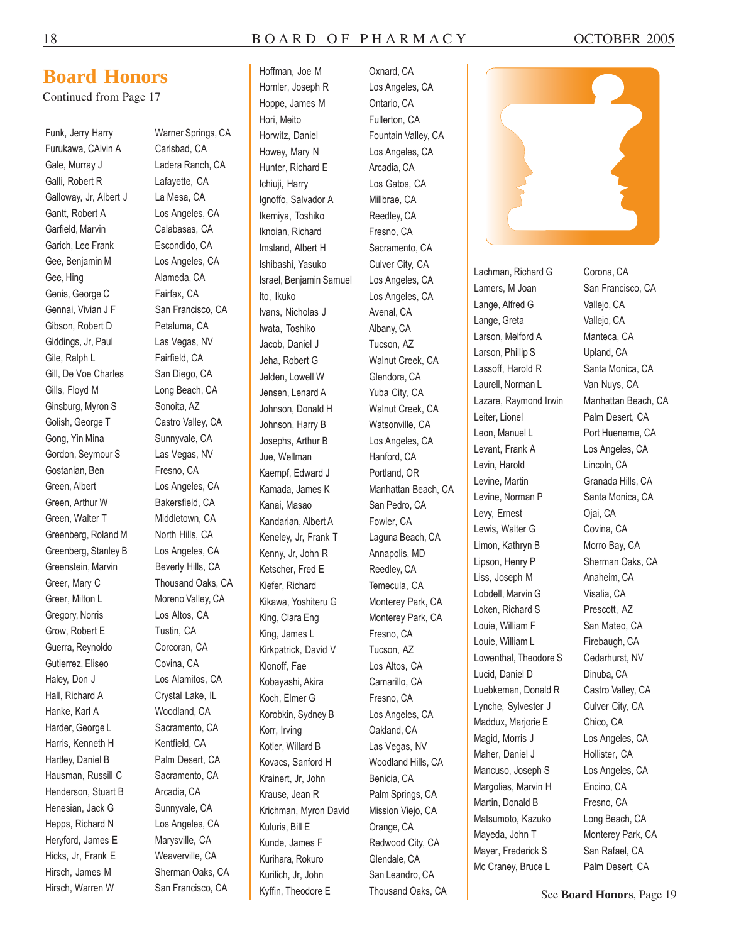Hoffman, Joe M

### **Board Honors**

Continued from Page 17

Furukawa, CAlvin A Carlsbad, CA Gale, Murray J Ladera Ranch, CA Galli, Robert R Lafayette, CA Galloway, Jr, Albert J La Mesa, CA Gantt, Robert A Los Angeles, CA Garfield, Marvin Calabasas, CA Garich, Lee Frank Escondido, CA Gee, Benjamin M Los Angeles, CA Gee, Hing **Alameda, CA** Genis, George C Fairfax, CA Gennai, Vivian J F San Francisco, CA Gibson, Robert D Petaluma, CA Giddings, Jr, Paul Las Vegas, NV Gile, Ralph L Fairfield, CA Gill, De Voe Charles San Diego, CA Gills, Floyd M Long Beach, CA Ginsburg, Myron S Sonoita, AZ Golish, George T Castro Valley, CA Gong, Yin Mina Sunnyvale, CA Gordon, Seymour S Las Vegas, NV Gostanian, Ben Fresno, CA Green, Albert Los Angeles, CA Green, Arthur W Bakersfield, CA Green, Walter T Middletown, CA Greenberg, Roland M North Hills, CA Greenberg, Stanley B Los Angeles, CA Greenstein, Marvin Beverly Hills, CA Greer, Mary C Thousand Oaks, CA Greer, Milton L<br>
Moreno Valley, CA Gregory, Norris Los Altos, CA Grow, Robert E Tustin, CA Guerra, Reynoldo Corcoran, CA Gutierrez, Eliseo Covina, CA Haley, Don J Los Alamitos, CA Hall, Richard A Crystal Lake, IL Hanke, Karl A Woodland, CA Harder, George L Sacramento, CA Harris, Kenneth H Kentfield, CA Hartley, Daniel B Palm Desert, CA Hausman, Russill C Sacramento, CA Henderson, Stuart B Arcadia, CA Henesian, Jack G Sunnyvale, CA Hepps, Richard N Los Angeles, CA Heryford, James E Marysville, CA Hicks, Jr, Frank E Weaverville, CA Hirsch, James M Sherman Oaks, CA Hirsch, Warren W San Francisco, CA

Funk, Jerry Harry Warner Springs, CA

Homler, Joseph R Hoppe, James M Hori, Meito Horwitz, Daniel Howey, Mary N Hunter, Richard E Ichiuji, Harry Ignoffo, Salvador A Ikemiya, Toshiko Iknoian, Richard Imsland, Albert H Ishibashi, Yasuko Israel, Benjamin Samuel Ito, Ikuko Ivans, Nicholas J Iwata, Toshiko Jacob, Daniel J Jeha, Robert G Jelden, Lowell W Jensen, Lenard A Johnson, Donald H Johnson, Harry B Josephs, Arthur B Jue, Wellman Kaempf, Edward J Kamada, James K Kanai, Masao Kandarian, Albert A Keneley, Jr, Frank T Kenny, Jr, John R Ketscher, Fred E Kiefer, Richard Kikawa, Yoshiteru G King, Clara Eng King, James L Kirkpatrick, David V Klonoff, Fae Kobayashi, Akira Koch, Elmer G Korobkin, Sydney B Korr, Irving Kotler, Willard B Kovacs, Sanford H Krainert, Jr, John Krause, Jean R Krichman, Myron David Kuluris, Bill E Kunde, James F Kurihara, Rokuro Kurilich, Jr, John Kyffin, Theodore E

Oxnard, CA Los Angeles, CA Ontario, CA Fullerton, CA Fountain Valley, CA Los Angeles, CA Arcadia, CA Los Gatos, CA Millbrae, CA Reedley, CA Fresno, CA Sacramento, CA Culver City, CA Los Angeles, CA Los Angeles, CA Avenal, CA Albany, CA Tucson, AZ Walnut Creek, CA Glendora, CA Yuba City, CA Walnut Creek, CA Watsonville, CA Los Angeles, CA Hanford, CA Portland, OR Manhattan Beach, CA San Pedro, CA Fowler, CA Laguna Beach, CA Annapolis, MD Reedley, CA Temecula, CA Monterey Park, CA Monterey Park, CA Fresno, CA Tucson, AZ Los Altos, CA Camarillo, CA Fresno, CA Los Angeles, CA Oakland, CA Las Vegas, NV Woodland Hills, CA Benicia, CA Palm Springs, CA Mission Viejo, CA Orange, CA Redwood City, CA Glendale, CA San Leandro, CA Thousand Oaks, CA



Lachman, Richard G Corona, CA Lamers, M Joan San Francisco, CA Lange, Alfred G Vallejo, CA Lange, Greta Vallejo, CA Larson, Melford A Manteca, CA Larson, Phillip S Upland, CA Lassoff, Harold R Santa Monica, CA Laurell, Norman L<br>
Van Nuys, CA Lazare, Raymond Irwin Manhattan Beach, CA Leiter, Lionel Palm Desert, CA Leon, Manuel L<br>
Port Hueneme, CA Levant, Frank A Los Angeles, CA Levin, Harold Lincoln, CA Levine, Martin Granada Hills, CA Levine, Norman P Santa Monica, CA Levy, Ernest **Oiai**, CA Lewis, Walter G Covina, CA Limon, Kathryn B Morro Bay, CA Lipson, Henry P Sherman Oaks, CA Liss, Joseph M Anaheim, CA Lobdell, Marvin G Visalia, CA Loken, Richard S Prescott, AZ Louie, William F San Mateo, CA Louie, William L<br>
Firebaugh, CA Lowenthal, Theodore S Cedarhurst, NV Lucid, Daniel D Dinuba, CA Luebkeman, Donald R Castro Valley, CA Lynche, Sylvester J Culver City, CA Maddux, Marjorie E Chico, CA Magid, Morris J Los Angeles, CA Maher, Daniel J Hollister, CA Mancuso, Joseph S Los Angeles, CA Margolies, Marvin H Encino, CA Martin, Donald B Fresno, CA Matsumoto, Kazuko Long Beach, CA Mayeda, John T Monterey Park, CA Mayer, Frederick S San Rafael, CA Mc Craney, Bruce L Palm Desert, CA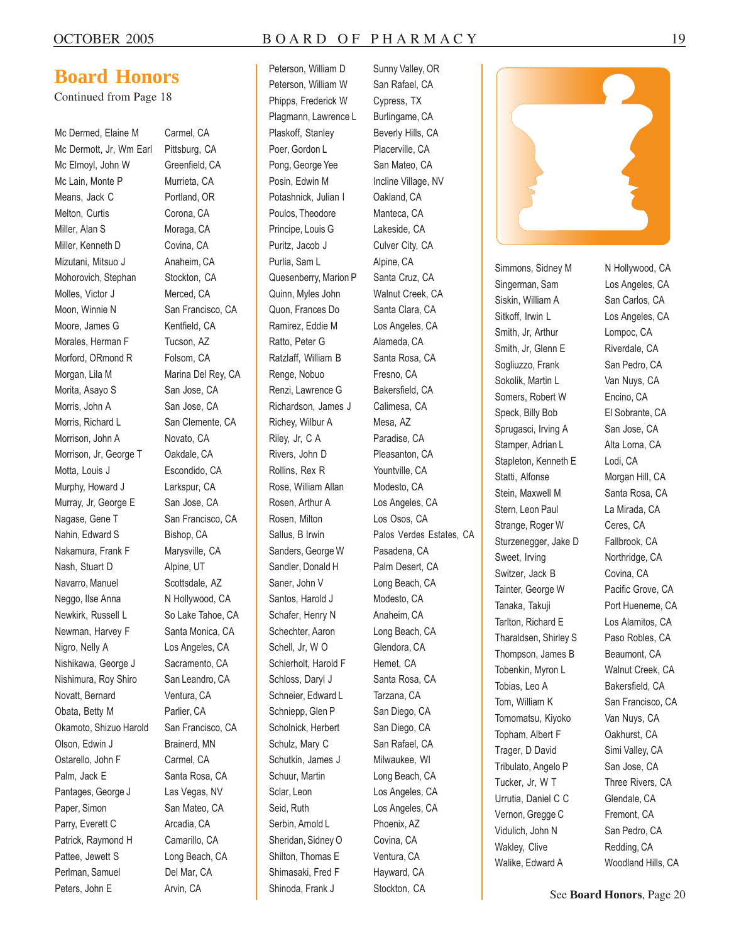#### OCTOBER 2005 BOARD OF PHARMACY 19

### **Board Honors**

Continued from Page 18

Mc Dermed, Elaine M Carmel, CA Mc Dermott, Jr, Wm Earl Pittsburg, CA Mc Elmoyl, John W Greenfield, CA Mc Lain, Monte P Murrieta, CA Means, Jack C Portland, OR Melton, Curtis Corona, CA Miller, Alan S Moraga, CA Miller, Kenneth D Covina, CA Mizutani, Mitsuo J Anaheim, CA Mohorovich, Stephan Stockton, CA Molles, Victor J Merced, CA Moon, Winnie N San Francisco, CA Moore, James G Kentfield, CA Morales, Herman F Tucson, AZ Morford, ORmond R Folsom, CA Morgan, Lila M Marina Del Rey, CA Morita, Asayo S San Jose, CA Morris, John A San Jose, CA Morris, Richard L San Clemente, CA Morrison, John A Novato, CA Morrison, Jr, George T Oakdale, CA Motta, Louis J Escondido, CA Murphy, Howard J Larkspur, CA Murray, Jr, George E San Jose, CA Nagase, Gene T San Francisco, CA Nahin, Edward S Bishop, CA Nakamura, Frank F Marysville, CA Nash, Stuart D Alpine, UT Navarro, Manuel Scottsdale, AZ Neggo, Ilse Anna N Hollywood, CA Newkirk, Russell L So Lake Tahoe, CA Newman, Harvey F Santa Monica, CA Nigro, Nelly A Los Angeles, CA Nishikawa, George J Sacramento, CA Nishimura, Roy Shiro San Leandro, CA Novatt, Bernard Ventura, CA Obata, Betty M Parlier, CA Okamoto, Shizuo Harold San Francisco, CA Olson, Edwin J Brainerd, MN Ostarello, John F Carmel, CA Palm, Jack E Santa Rosa, CA Pantages, George J Las Vegas, NV Paper, Simon San Mateo, CA Parry, Everett C Arcadia, CA Patrick, Raymond H Camarillo, CA Pattee, Jewett S Long Beach, CA Perlman, Samuel Del Mar, CA Peters, John E Arvin, CA

Peterson, William D Peterson, William W Phipps, Frederick W Plagmann, Lawrence L Plaskoff, Stanley Poer, Gordon L Pong, George Yee Posin, Edwin M Potashnick, Julian I Poulos, Theodore Principe, Louis G Puritz, Jacob J Purlia, Sam L Quesenberry, Marion P Quinn, Myles John Quon, Frances Do Ramirez, Eddie M Ratto, Peter G Ratzlaff, William B Renge, Nobuo Renzi, Lawrence G Richardson, James J Richey, Wilbur A Riley, Jr, C A Rivers, John D Rollins, Rex R Rose, William Allan Rosen, Arthur A Rosen, Milton Sallus, B Irwin Sanders, George W Sandler, Donald H Saner, John V Santos, Harold J Schafer, Henry N Schechter, Aaron Schell, Jr, W O Schierholt, Harold F Schloss, Daryl J Schneier, Edward L Schniepp, Glen P Scholnick, Herbert Schulz, Mary C Schutkin, James J Schuur, Martin Sclar, Leon Seid, Ruth Serbin, Arnold L Sheridan, Sidney O Shilton, Thomas E Shimasaki, Fred F Shinoda, Frank J

Sunny Valley, OR San Rafael, CA Cypress, TX Burlingame, CA Beverly Hills, CA Placerville, CA San Mateo, CA Incline Village, NV Oakland, CA Manteca, CA Lakeside, CA Culver City, CA Alpine, CA Santa Cruz, CA Walnut Creek, CA Santa Clara, CA Los Angeles, CA Alameda, CA Santa Rosa, CA Fresno, CA Bakersfield, CA Calimesa, CA Mesa, AZ Paradise, CA Pleasanton, CA Yountville, CA Modesto, CA Los Angeles, CA Los Osos, CA Palos Verdes Estates, CA Pasadena, CA Palm Desert, CA Long Beach, CA Modesto, CA Anaheim, CA Long Beach, CA Glendora, CA Hemet, CA Santa Rosa, CA Tarzana, CA San Diego, CA San Diego, CA San Rafael, CA Milwaukee, WI Long Beach, CA Los Angeles, CA Los Angeles, CA Phoenix, AZ Covina, CA Ventura, CA Hayward, CA Stockton, CA



Singerman, Sam Los Angeles, CA Siskin, William A San Carlos, CA Sitkoff, Irwin L<br>
Los Angeles, CA Smith, Jr, Arthur Lompoc, CA Smith, Jr, Glenn E Riverdale, CA Sogliuzzo, Frank San Pedro, CA Sokolik, Martin L<br>
Van Nuys, CA Somers, Robert W Encino, CA Speck, Billy Bob El Sobrante, CA Sprugasci, Irving A San Jose, CA Stamper, Adrian L Alta Loma, CA Stapleton, Kenneth E Lodi, CA Statti, Alfonse Morgan Hill, CA Stein, Maxwell M Santa Rosa, CA Stern, Leon Paul La Mirada, CA Strange, Roger W Ceres, CA Sturzenegger, Jake D Fallbrook, CA Sweet, Irving Northridge, CA Switzer, Jack B Covina, CA Tainter, George W Pacific Grove, CA Tanaka, Takuji Port Hueneme, CA Tarlton, Richard E Los Alamitos, CA Tharaldsen, Shirley S<br>
Paso Robles, CA Thompson, James B Beaumont, CA Tobenkin, Myron L Walnut Creek, CA Tobias, Leo A Bakersfield, CA Tom, William K San Francisco, CA Tomomatsu, Kiyoko Van Nuys, CA Topham, Albert F Oakhurst, CA Trager, D David Simi Valley, CA Tribulato, Angelo P San Jose, CA Tucker, Jr, W T Three Rivers, CA Urrutia, Daniel C C Glendale, CA Vernon, Gregge C Fremont, CA Vidulich, John N San Pedro, CA Wakley, Clive Redding, CA Walike, Edward A Woodland Hills, CA

Simmons, Sidney M N Hollywood, CA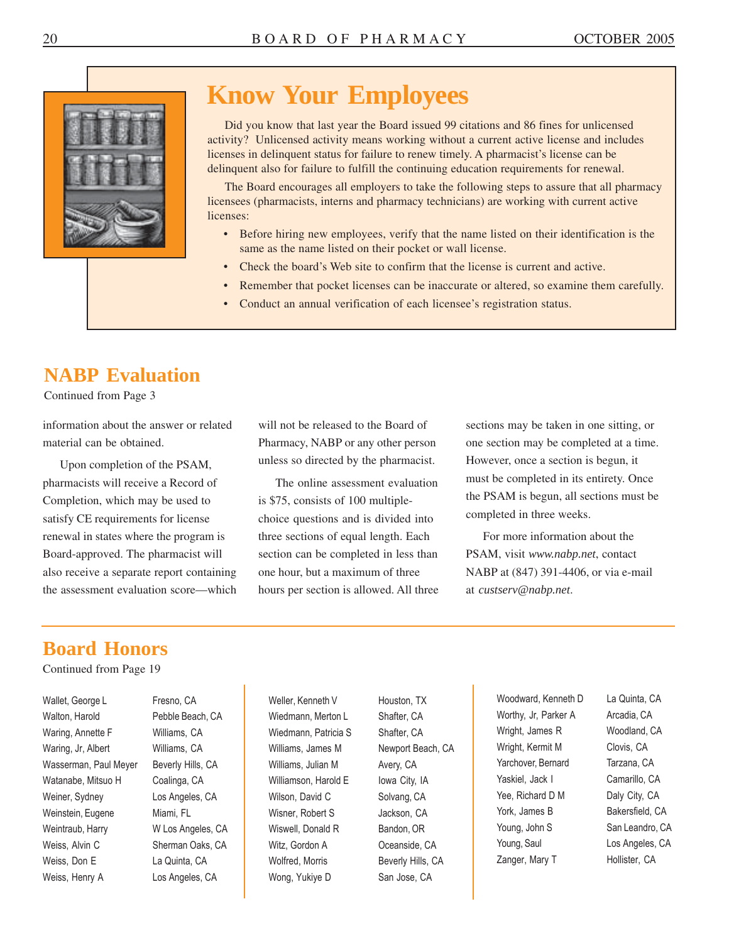

### **Know Your Employees**

Did you know that last year the Board issued 99 citations and 86 fines for unlicensed activity? Unlicensed activity means working without a current active license and includes licenses in delinquent status for failure to renew timely. A pharmacist's license can be delinquent also for failure to fulfill the continuing education requirements for renewal.

The Board encourages all employers to take the following steps to assure that all pharmacy licensees (pharmacists, interns and pharmacy technicians) are working with current active licenses:

- Before hiring new employees, verify that the name listed on their identification is the same as the name listed on their pocket or wall license.
- Check the board's Web site to confirm that the license is current and active.
- Remember that pocket licenses can be inaccurate or altered, so examine them carefully.
- Conduct an annual verification of each licensee's registration status.

### **NABP Evaluation**

Continued from Page 3

material can be obtained. Pharmacy, NABP or any other person one section may be completed at a time.

pharmacists will receive a Record of The online assessment evaluation must be completed in its entirety. Once Completion, which may be used to is \$75, consists of 100 multiple-<br>the PSAM is begun, all sections must be satisfy CE requirements for license choice questions and is divided into completed in three weeks. renewal in states where the program is three sections of equal length. Each For more information about the Board-approved. The pharmacist will section can be completed in less than PSAM, visit *<www.nabp.net>*, contact also receive a separate report containing one hour, but a maximum of three NABP at (847) 391-4406, or via e-mail the assessment evaluation score—which hours per section is allowed. All three at *[custserv@nabp.net](mailto:custserv@nabp.net)*.

information about the answer or related will not be released to the Board of sections may be taken in one sitting, or Upon completion of the PSAM, unless so directed by the pharmacist. However, once a section is begun, it

### **Board Honors**

Continued from Page 19

| Wallet, George L      | Fresno, CA           |
|-----------------------|----------------------|
| Walton, Harold        | Pebble Bea           |
| Waring, Annette F     | Williams, C.         |
| Waring, Jr, Albert    | Williams, C.         |
| Wasserman, Paul Meyer | <b>Beverly Hills</b> |
| Watanabe, Mitsuo H    | Coalinga, C          |
| Weiner, Sydney        | Los Angeles          |
| Weinstein, Eugene     | Miami, FL            |
| Weintraub, Harry      | W Los Ange           |
| Weiss, Alvin C        | Sherman Oa           |
| Weiss, Don E          | La Quinta, 0         |
| Weiss, Henry A        | Los Angeles          |

Pebble Beach, CA Williams, CA Williams, CA Beverly Hills, CA Coalinga, CA Los Angeles, CA Miami, FL W Los Angeles, CA Sherman Oaks, CA La Quinta, CA Los Angeles, CA

Weller, Kenneth V Wiedmann, Merton L Wiedmann, Patricia S Williams, James M Williams, Julian M Williamson, Harold E Wilson, David C Wisner, Robert S Wiswell, Donald R Witz, Gordon A Wolfred, Morris Wong, Yukiye D

Houston, TX Shafter, CA Shafter, CA Newport Beach, CA Avery, CA Iowa City, IA Solvang, CA Jackson, CA Bandon, OR Oceanside, CA Beverly Hills, CA San Jose, CA

Woodward, Kenneth D La Quinta, CA Worthy, Jr, Parker A Arcadia, CA Wright, James R Woodland, CA Wright, Kermit M Clovis, CA Yarchover, Bernard Tarzana, CA Yaskiel, Jack I Camarillo, CA Yee, Richard D M Daly City, CA York, James B Bakersfield, CA Young, John S San Leandro, CA Young, Saul Los Angeles, CA Zanger, Mary T Hollister, CA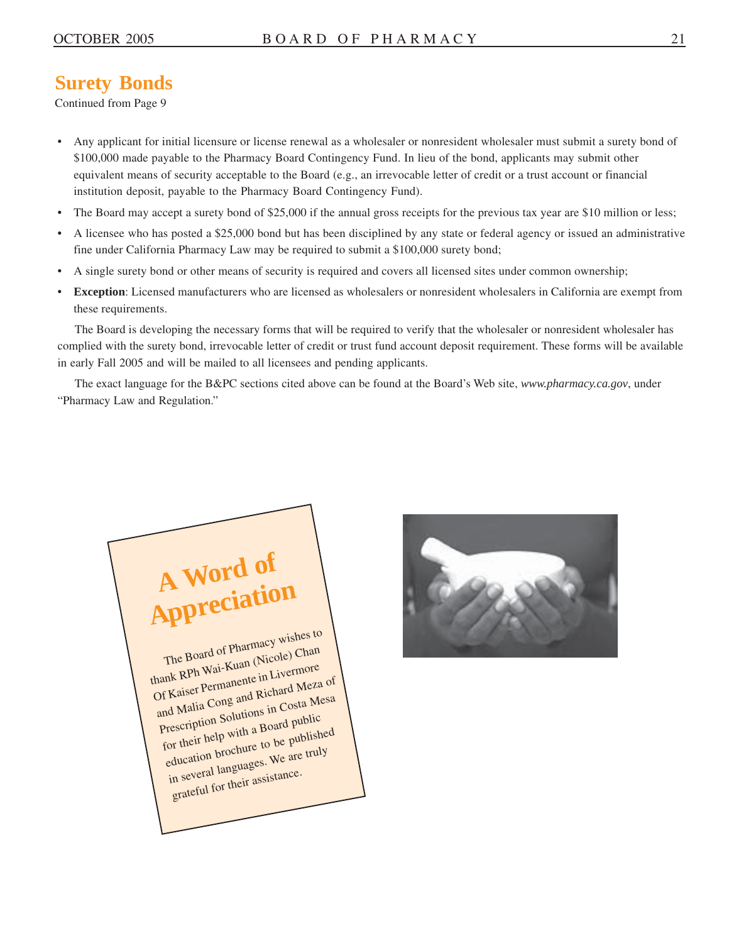### **Surety Bonds**

Continued from Page 9

- Any applicant for initial licensure or license renewal as a wholesaler or nonresident wholesaler must submit a surety bond of \$100,000 made payable to the Pharmacy Board Contingency Fund. In lieu of the bond, applicants may submit other equivalent means of security acceptable to the Board (e.g., an irrevocable letter of credit or a trust account or financial institution deposit, payable to the Pharmacy Board Contingency Fund).
- The Board may accept a surety bond of \$25,000 if the annual gross receipts for the previous tax year are \$10 million or less;
- A licensee who has posted a \$25,000 bond but has been disciplined by any state or federal agency or issued an administrative fine under California Pharmacy Law may be required to submit a \$100,000 surety bond;
- A single surety bond or other means of security is required and covers all licensed sites under common ownership;
- **Exception**: Licensed manufacturers who are licensed as wholesalers or nonresident wholesalers in California are exempt from these requirements.

The Board is developing the necessary forms that will be required to verify that the wholesaler or nonresident wholesaler has complied with the surety bond, irrevocable letter of credit or trust fund account deposit requirement. These forms will be available in early Fall 2005 and will be mailed to all licensees and pending applicants.

The exact language for the B&PC sections cited above can be found at the Board's Web site, *<www.pharmacy.ca.gov>*, under "Pharmacy Law and Regulation."



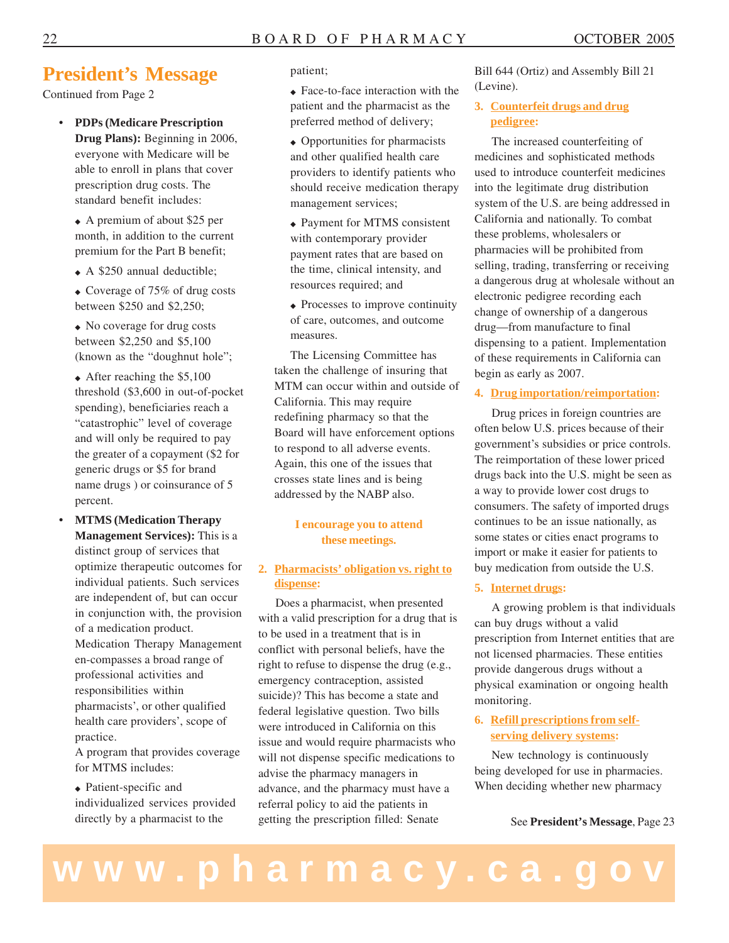### **President's Message**

Continued from Page 2

- **PDPs (Medicare Prescription Drug Plans):** Beginning in 2006, everyone with Medicare will be able to enroll in plans that cover prescription drug costs. The standard benefit includes:
	- ◆ A premium of about \$25 per month, in addition to the current premium for the Part B benefit;
	- ◆ A \$250 annual deductible;
	- ◆ Coverage of 75% of drug costs between \$250 and \$2,250;

◆ No coverage for drug costs between \$2,250 and \$5,100 (known as the "doughnut hole";

◆ After reaching the \$5,100 threshold (\$3,600 in out-of-pocket spending), beneficiaries reach a "catastrophic" level of coverage and will only be required to pay the greater of a copayment (\$2 for generic drugs or \$5 for brand name drugs ) or coinsurance of 5 percent.

 **MTMS (Medication Therapy Management Services):** This is a distinct group of services that optimize therapeutic outcomes for individual patients. Such services are independent of, but can occur in conjunction with, the provision of a medication product.

Medication Therapy Management en-compasses a broad range of professional activities and responsibilities within pharmacists', or other qualified health care providers', scope of practice.

A program that provides coverage for MTMS includes:

◆ Patient-specific and individualized services provided directly by a pharmacist to the

patient;

◆ Face-to-face interaction with the patient and the pharmacist as the preferred method of delivery;

- ◆ Opportunities for pharmacists and other qualified health care providers to identify patients who should receive medication therapy management services;
- ◆ Payment for MTMS consistent with contemporary provider payment rates that are based on the time, clinical intensity, and resources required; and
- ◆ Processes to improve continuity of care, outcomes, and outcome measures.

The Licensing Committee has taken the challenge of insuring that MTM can occur within and outside of California. This may require redefining pharmacy so that the Board will have enforcement options to respond to all adverse events. Again, this one of the issues that crosses state lines and is being addressed by the NABP also.

#### **I encourage you to attend these meetings.**

#### **2. Pharmacists' obligation vs. right to dispense:**

Does a pharmacist, when presented with a valid prescription for a drug that is to be used in a treatment that is in conflict with personal beliefs, have the right to refuse to dispense the drug (e.g., emergency contraception, assisted suicide)? This has become a state and federal legislative question. Two bills were introduced in California on this issue and would require pharmacists who will not dispense specific medications to advise the pharmacy managers in advance, and the pharmacy must have a referral policy to aid the patients in getting the prescription filled: Senate

Bill 644 (Ortiz) and Assembly Bill 21 (Levine).

#### **3. Counterfeit drugs and drug pedigree:**

The increased counterfeiting of medicines and sophisticated methods used to introduce counterfeit medicines into the legitimate drug distribution system of the U.S. are being addressed in California and nationally. To combat these problems, wholesalers or pharmacies will be prohibited from selling, trading, transferring or receiving a dangerous drug at wholesale without an electronic pedigree recording each change of ownership of a dangerous drug—from manufacture to final dispensing to a patient. Implementation of these requirements in California can begin as early as 2007.

#### **4. Drug importation/reimportation:**

Drug prices in foreign countries are often below U.S. prices because of their government's subsidies or price controls. The reimportation of these lower priced drugs back into the U.S. might be seen as a way to provide lower cost drugs to consumers. The safety of imported drugs continues to be an issue nationally, as some states or cities enact programs to import or make it easier for patients to buy medication from outside the U.S.

#### **5. Internet drugs:**

A growing problem is that individuals can buy drugs without a valid prescription from Internet entities that are not licensed pharmacies. These entities provide dangerous drugs without a physical examination or ongoing health monitoring.

#### **6. Refill prescriptions from selfserving delivery systems:**

New technology is continuously being developed for use in pharmacies. When deciding whether new pharmacy

See **President's Message**, Page 23

# **www.pharmacy.ca.gov**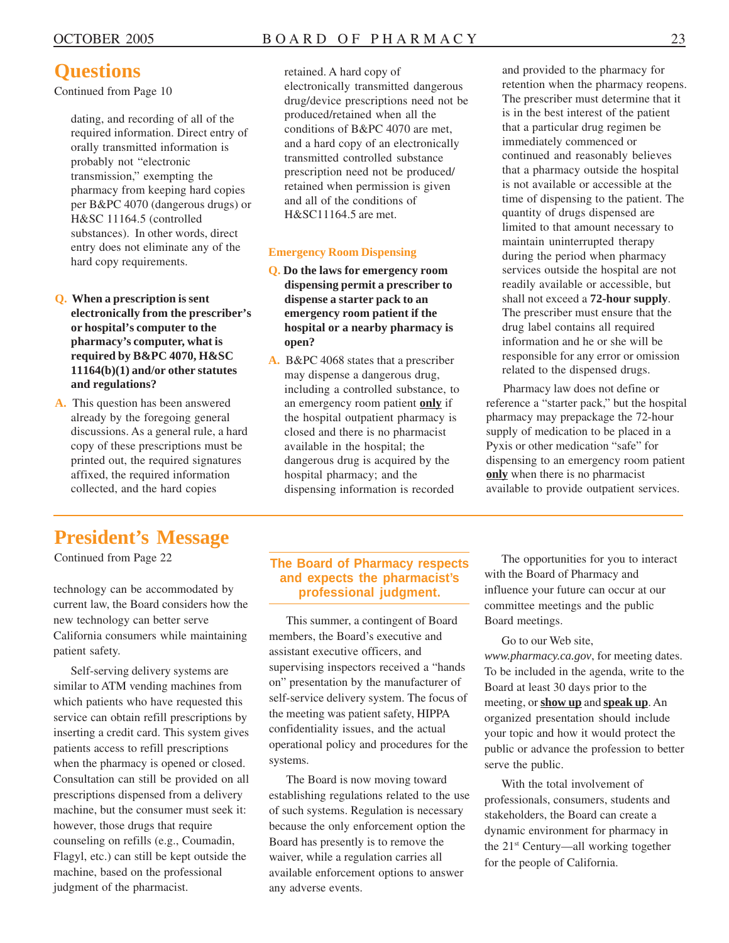### **Questions**

Continued from Page 10

dating, and recording of all of the required information. Direct entry of orally transmitted information is probably not "electronic transmission," exempting the pharmacy from keeping hard copies per B&PC 4070 (dangerous drugs) or H&SC 11164.5 (controlled substances). In other words, direct entry does not eliminate any of the hard copy requirements.

**Q. When a prescription is sent electronically from the prescriber's or hospital's computer to the pharmacy's computer, what is required by B&PC 4070, H&SC 11164(b)(1) and/or other statutes and regulations?** 

**A.** This question has been answered already by the foregoing general discussions. As a general rule, a hard copy of these prescriptions must be printed out, the required signatures affixed, the required information collected, and the hard copies

retained. A hard copy of electronically transmitted dangerous drug/device prescriptions need not be produced/retained when all the conditions of B&PC 4070 are met, and a hard copy of an electronically transmitted controlled substance prescription need not be produced/ retained when permission is given and all of the conditions of H&SC11164.5 are met.

#### **Emergency Room Dispensing**

- **Q. Do the laws for emergency room dispensing permit a prescriber to dispense a starter pack to an emergency room patient if the hospital or a nearby pharmacy is open?**
- **A.** B&PC 4068 states that a prescriber may dispense a dangerous drug, including a controlled substance, to an emergency room patient **only** if the hospital outpatient pharmacy is closed and there is no pharmacist available in the hospital; the dangerous drug is acquired by the hospital pharmacy; and the dispensing information is recorded

and provided to the pharmacy for retention when the pharmacy reopens. The prescriber must determine that it is in the best interest of the patient that a particular drug regimen be immediately commenced or continued and reasonably believes that a pharmacy outside the hospital is not available or accessible at the time of dispensing to the patient. The quantity of drugs dispensed are limited to that amount necessary to maintain uninterrupted therapy during the period when pharmacy services outside the hospital are not readily available or accessible, but shall not exceed a **72-hour supply**. The prescriber must ensure that the drug label contains all required information and he or she will be responsible for any error or omission related to the dispensed drugs.

Pharmacy law does not define or reference a "starter pack," but the hospital pharmacy may prepackage the 72-hour supply of medication to be placed in a Pyxis or other medication "safe" for dispensing to an emergency room patient **only** when there is no pharmacist available to provide outpatient services.

### **President's Message**

Continued from Page 22

technology can be accommodated by current law, the Board considers how the new technology can better serve California consumers while maintaining patient safety.

Self-serving delivery systems are similar to ATM vending machines from which patients who have requested this service can obtain refill prescriptions by inserting a credit card. This system gives patients access to refill prescriptions when the pharmacy is opened or closed. Consultation can still be provided on all prescriptions dispensed from a delivery machine, but the consumer must seek it: however, those drugs that require counseling on refills (e.g., Coumadin, Flagyl, etc.) can still be kept outside the machine, based on the professional judgment of the pharmacist.

#### **The Board of Pharmacy respects and expects the pharmacist's professional judgment.**

This summer, a contingent of Board members, the Board's executive and assistant executive officers, and supervising inspectors received a "hands on" presentation by the manufacturer of self-service delivery system. The focus of the meeting was patient safety, HIPPA confidentiality issues, and the actual operational policy and procedures for the systems.

The Board is now moving toward establishing regulations related to the use of such systems. Regulation is necessary because the only enforcement option the Board has presently is to remove the waiver, while a regulation carries all available enforcement options to answer any adverse events.

The opportunities for you to interact with the Board of Pharmacy and influence your future can occur at our committee meetings and the public Board meetings.

Go to our Web site, *<www.pharmacy.ca.gov>*, for meeting dates. To be included in the agenda, write to the Board at least 30 days prior to the meeting, or **show up** and **speak up**. An organized presentation should include your topic and how it would protect the public or advance the profession to better serve the public.

With the total involvement of professionals, consumers, students and stakeholders, the Board can create a dynamic environment for pharmacy in the 21<sup>st</sup> Century—all working together for the people of California.